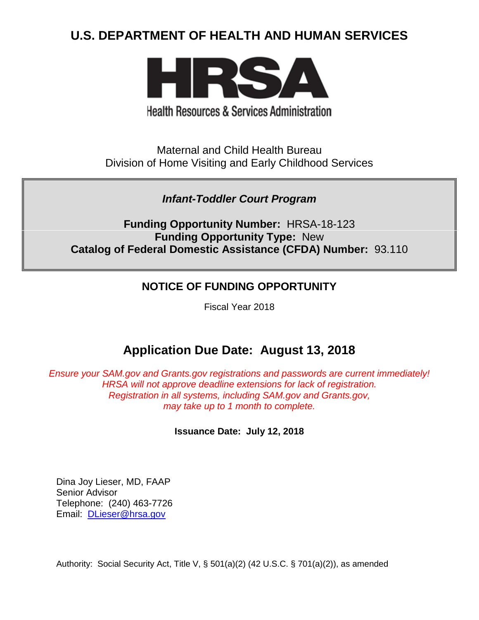# **U.S. DEPARTMENT OF HEALTH AND HUMAN SERVICES**



**Health Resources & Services Administration** 

Maternal and Child Health Bureau Division of Home Visiting and Early Childhood Services

## *Infant-Toddler Court Program*

**Funding Opportunity Number:** HRSA-18-123 **Funding Opportunity Type:** New **Catalog of Federal Domestic Assistance (CFDA) Number:** 93.110

## **NOTICE OF FUNDING OPPORTUNITY**

Fiscal Year 2018

# **Application Due Date: August 13, 2018**

*Ensure your SAM.gov and Grants.gov registrations and passwords are current immediately! HRSA will not approve deadline extensions for lack of registration. Registration in all systems, including SAM.gov and Grants.gov, may take up to 1 month to complete.*

## **Issuance Date:****July 12, 2018**

Dina Joy Lieser, MD, FAAP Senior Advisor Telephone: (240) 463-7726 Email: [DLieser@hrsa.gov](mailto:DLieser@hrsa.gov)

Authority: Social Security Act, Title V, § 501(a)(2) (42 U.S.C. § 701(a)(2)), as amended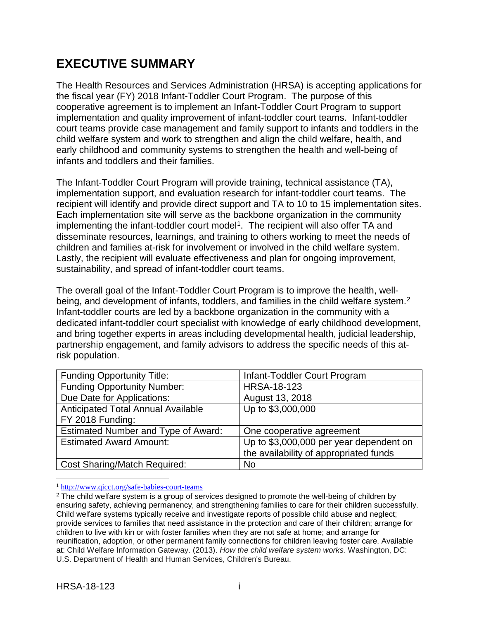# **EXECUTIVE SUMMARY**

The Health Resources and Services Administration (HRSA) is accepting applications for the fiscal year (FY) 2018 Infant-Toddler Court Program. The purpose of this cooperative agreement is to implement an Infant-Toddler Court Program to support implementation and quality improvement of infant-toddler court teams. Infant-toddler court teams provide case management and family support to infants and toddlers in the child welfare system and work to strengthen and align the child welfare, health, and early childhood and community systems to strengthen the health and well-being of infants and toddlers and their families.

The Infant-Toddler Court Program will provide training, technical assistance (TA), implementation support, and evaluation research for infant-toddler court teams. The recipient will identify and provide direct support and TA to 10 to 15 implementation sites. Each implementation site will serve as the backbone organization in the community implementing the infant-toddler court model<sup>1</sup>. The recipient will also offer TA and disseminate resources, learnings, and training to others working to meet the needs of children and families at-risk for involvement or involved in the child welfare system. Lastly, the recipient will evaluate effectiveness and plan for ongoing improvement, sustainability, and spread of infant-toddler court teams.

The overall goal of the Infant-Toddler Court Program is to improve the health, wellbeing, and development of infants, toddlers, and families in the child welfare system.<sup>2</sup> Infant-toddler courts are led by a backbone organization in the community with a dedicated infant-toddler court specialist with knowledge of early childhood development, and bring together experts in areas including developmental health, judicial leadership, partnership engagement, and family advisors to address the specific needs of this atrisk population.

| <b>Funding Opportunity Title:</b>         | Infant-Toddler Court Program            |
|-------------------------------------------|-----------------------------------------|
| <b>Funding Opportunity Number:</b>        | <b>HRSA-18-123</b>                      |
| Due Date for Applications:                | August 13, 2018                         |
| <b>Anticipated Total Annual Available</b> | Up to \$3,000,000                       |
| FY 2018 Funding:                          |                                         |
| Estimated Number and Type of Award:       | One cooperative agreement               |
| <b>Estimated Award Amount:</b>            | Up to \$3,000,000 per year dependent on |
|                                           | the availability of appropriated funds  |
| <b>Cost Sharing/Match Required:</b>       | <b>No</b>                               |

<span id="page-1-0"></span>1 <http://www.qicct.org/safe-babies-court-teams>

<span id="page-1-1"></span><sup>&</sup>lt;sup>2</sup> The child welfare system is a group of services designed to promote the well-being of children by ensuring safety, achieving permanency, and strengthening families to care for their children successfully. Child welfare systems typically receive and investigate reports of possible child abuse and neglect; provide services to families that need assistance in the protection and care of their children; arrange for children to live with kin or with foster families when they are not safe at home; and arrange for reunification, adoption, or other permanent family connections for children leaving foster care. Available at: Child Welfare Information Gateway. (2013). *How the child welfare system works.* Washington, DC: U.S. Department of Health and Human Services, Children's Bureau.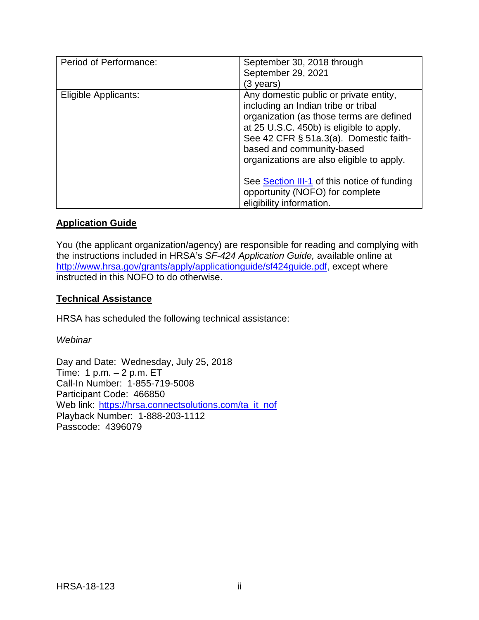| Period of Performance: | September 30, 2018 through<br>September 29, 2021<br>(3 years)                                                                                                                                                                                                                             |
|------------------------|-------------------------------------------------------------------------------------------------------------------------------------------------------------------------------------------------------------------------------------------------------------------------------------------|
| Eligible Applicants:   | Any domestic public or private entity,<br>including an Indian tribe or tribal<br>organization (as those terms are defined<br>at 25 U.S.C. 450b) is eligible to apply.<br>See 42 CFR § 51a.3(a). Domestic faith-<br>based and community-based<br>organizations are also eligible to apply. |
|                        | See Section III-1 of this notice of funding<br>opportunity (NOFO) for complete<br>eligibility information.                                                                                                                                                                                |

### **Application Guide**

You (the applicant organization/agency) are responsible for reading and complying with the instructions included in HRSA's *SF-424 Application Guide,* available online at [http://www.hrsa.gov/grants/apply/applicationguide/sf424guide.pdf,](http://www.hrsa.gov/grants/apply/applicationguide/sf424guide.pdf) except where instructed in this NOFO to do otherwise.

### **Technical Assistance**

HRSA has scheduled the following technical assistance:

*Webinar*

Day and Date: Wednesday, July 25, 2018 Time: 1 p.m. – 2 p.m. ET Call-In Number: 1-855-719-5008 Participant Code: 466850 Web link: [https://hrsa.connectsolutions.com/ta\\_it\\_nof](https://hrsa.connectsolutions.com/ta_it_nof) Playback Number: 1-888-203-1112 Passcode: 4396079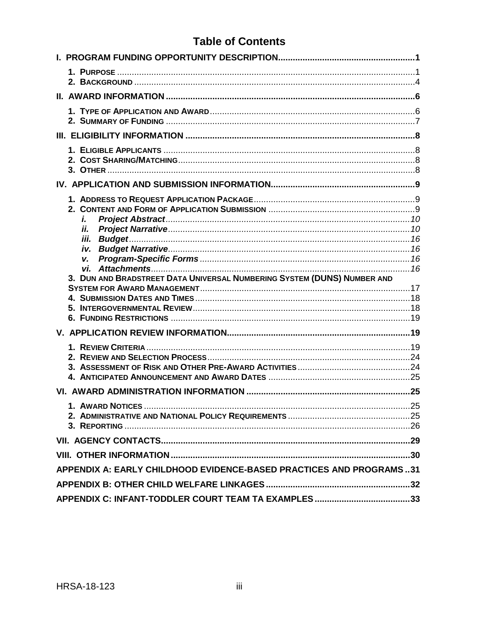# **Table of Contents**

| i.                                                                      |
|-------------------------------------------------------------------------|
| Ĥ.                                                                      |
| iii.                                                                    |
| v.                                                                      |
|                                                                         |
| 3. DUN AND BRADSTREET DATA UNIVERSAL NUMBERING SYSTEM (DUNS) NUMBER AND |
|                                                                         |
|                                                                         |
|                                                                         |
|                                                                         |
|                                                                         |
|                                                                         |
|                                                                         |
|                                                                         |
|                                                                         |
|                                                                         |
|                                                                         |
|                                                                         |
|                                                                         |
| APPENDIX A: EARLY CHILDHOOD EVIDENCE-BASED PRACTICES AND PROGRAMS31     |
|                                                                         |
|                                                                         |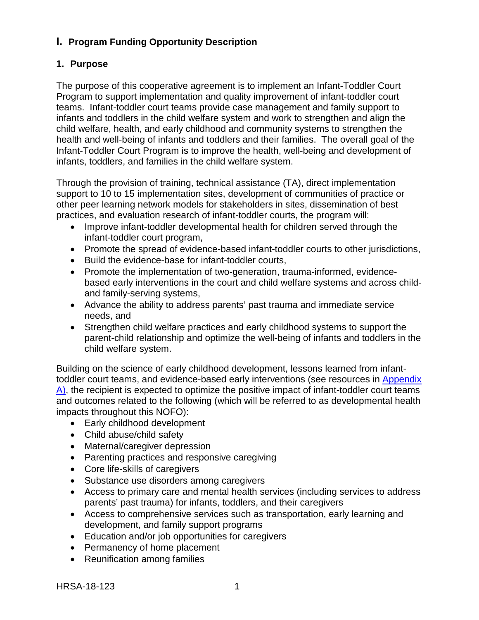## <span id="page-4-0"></span>**I. Program Funding Opportunity Description**

## <span id="page-4-1"></span>**1. Purpose**

The purpose of this cooperative agreement is to implement an Infant-Toddler Court Program to support implementation and quality improvement of infant-toddler court teams. Infant-toddler court teams provide case management and family support to infants and toddlers in the child welfare system and work to strengthen and align the child welfare, health, and early childhood and community systems to strengthen the health and well-being of infants and toddlers and their families. The overall goal of the Infant-Toddler Court Program is to improve the health, well-being and development of infants, toddlers, and families in the child welfare system.

Through the provision of training, technical assistance (TA), direct implementation support to 10 to 15 implementation sites, development of communities of practice or other peer learning network models for stakeholders in sites, dissemination of best practices, and evaluation research of infant-toddler courts, the program will:

- Improve infant-toddler developmental health for children served through the infant-toddler court program,
- Promote the spread of evidence-based infant-toddler courts to other jurisdictions,
- Build the evidence-base for infant-toddler courts,
- Promote the implementation of two-generation, trauma-informed, evidencebased early interventions in the court and child welfare systems and across childand family-serving systems,
- Advance the ability to address parents' past trauma and immediate service needs, and
- Strengthen child welfare practices and early childhood systems to support the parent-child relationship and optimize the well-being of infants and toddlers in the child welfare system.

Building on the science of early childhood development, lessons learned from infanttoddler court teams, and evidence-based early interventions (see resources in [Appendix](#page-34-0)  [A\)](#page-34-0), the recipient is expected to optimize the positive impact of infant-toddler court teams and outcomes related to the following (which will be referred to as developmental health impacts throughout this NOFO):

- Early childhood development
- Child abuse/child safety
- Maternal/caregiver depression
- Parenting practices and responsive caregiving
- Core life-skills of caregivers
- Substance use disorders among caregivers
- Access to primary care and mental health services (including services to address parents' past trauma) for infants, toddlers, and their caregivers
- Access to comprehensive services such as transportation, early learning and development, and family support programs
- Education and/or job opportunities for caregivers
- Permanency of home placement
- Reunification among families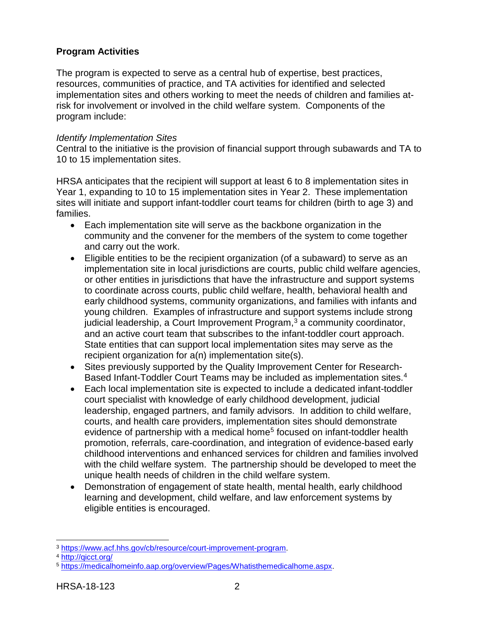## **Program Activities**

The program is expected to serve as a central hub of expertise, best practices, resources, communities of practice, and TA activities for identified and selected implementation sites and others working to meet the needs of children and families atrisk for involvement or involved in the child welfare system. Components of the program include:

#### *Identify Implementation Sites*

Central to the initiative is the provision of financial support through subawards and TA to 10 to 15 implementation sites.

HRSA anticipates that the recipient will support at least 6 to 8 implementation sites in Year 1, expanding to 10 to 15 implementation sites in Year 2. These implementation sites will initiate and support infant-toddler court teams for children (birth to age 3) and families.

- Each implementation site will serve as the backbone organization in the community and the convener for the members of the system to come together and carry out the work.
- Eligible entities to be the recipient organization (of a subaward) to serve as an implementation site in local jurisdictions are courts, public child welfare agencies, or other entities in jurisdictions that have the infrastructure and support systems to coordinate across courts, public child welfare, health, behavioral health and early childhood systems, community organizations, and families with infants and young children. Examples of infrastructure and support systems include strong judicial leadership, a Court Improvement Program, $3$  a community coordinator, and an active court team that subscribes to the infant-toddler court approach. State entities that can support local implementation sites may serve as the recipient organization for a(n) implementation site(s).
- Sites previously supported by the Quality Improvement Center for Research-Based Infant-Toddler Court Teams may be included as implementation sites. [4](#page-5-1)
- Each local implementation site is expected to include a dedicated infant-toddler court specialist with knowledge of early childhood development, judicial leadership, engaged partners, and family advisors. In addition to child welfare, courts, and health care providers, implementation sites should demonstrate evidence of partnership with a medical home<sup>[5](#page-5-2)</sup> focused on infant-toddler health promotion, referrals, care-coordination, and integration of evidence-based early childhood interventions and enhanced services for children and families involved with the child welfare system. The partnership should be developed to meet the unique health needs of children in the child welfare system.
- Demonstration of engagement of state health, mental health, early childhood learning and development, child welfare, and law enforcement systems by eligible entities is encouraged.

<span id="page-5-0"></span> $\overline{a}$ <sup>3</sup> [https://www.acf.hhs.gov/cb/resource/court-improvement-program.](https://www.acf.hhs.gov/cb/resource/court-improvement-program) 4 <http://qicct.org/>

<span id="page-5-1"></span>

<span id="page-5-2"></span><sup>5</sup> [https://medicalhomeinfo.aap.org/overview/Pages/Whatisthemedicalhome.aspx.](https://medicalhomeinfo.aap.org/overview/Pages/Whatisthemedicalhome.aspx)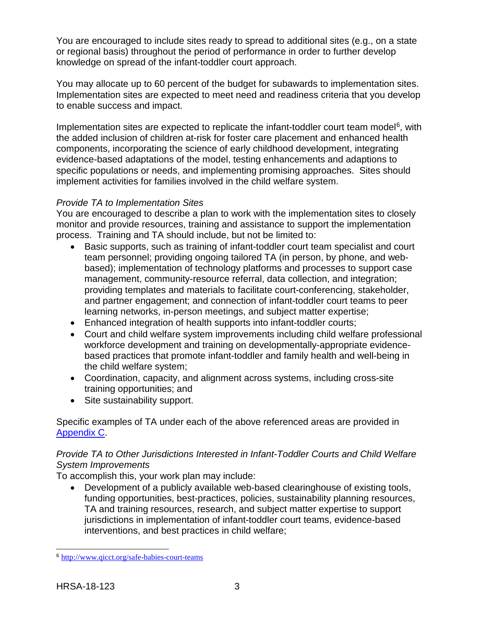You are encouraged to include sites ready to spread to additional sites (e.g., on a state or regional basis) throughout the period of performance in order to further develop knowledge on spread of the infant-toddler court approach.

You may allocate up to 60 percent of the budget for subawards to implementation sites. Implementation sites are expected to meet need and readiness criteria that you develop to enable success and impact.

Implementation sites are expected to replicate the infant-toddler court team model<sup>[6](#page-6-0)</sup>, with the added inclusion of children at-risk for foster care placement and enhanced health components, incorporating the science of early childhood development, integrating evidence-based adaptations of the model, testing enhancements and adaptions to specific populations or needs, and implementing promising approaches. Sites should implement activities for families involved in the child welfare system.

## *Provide TA to Implementation Sites*

You are encouraged to describe a plan to work with the implementation sites to closely monitor and provide resources, training and assistance to support the implementation process. Training and TA should include, but not be limited to:

- Basic supports, such as training of infant-toddler court team specialist and court team personnel; providing ongoing tailored TA (in person, by phone, and webbased); implementation of technology platforms and processes to support case management, community-resource referral, data collection, and integration; providing templates and materials to facilitate court-conferencing, stakeholder, and partner engagement; and connection of infant-toddler court teams to peer learning networks, in-person meetings, and subject matter expertise;
- Enhanced integration of health supports into infant-toddler courts;
- Court and child welfare system improvements including child welfare professional workforce development and training on developmentally-appropriate evidencebased practices that promote infant-toddler and family health and well-being in the child welfare system;
- Coordination, capacity, and alignment across systems, including cross-site training opportunities; and
- Site sustainability support.

Specific examples of TA under each of the above referenced areas are provided in [Appendix C.](#page-35-1)

## *Provide TA to Other Jurisdictions Interested in Infant-Toddler Courts and Child Welfare System Improvements*

To accomplish this, your work plan may include:

• Development of a publicly available web-based clearinghouse of existing tools, funding opportunities, best-practices, policies, sustainability planning resources, TA and training resources, research, and subject matter expertise to support jurisdictions in implementation of infant-toddler court teams, evidence-based interventions, and best practices in child welfare;

<span id="page-6-0"></span> $\overline{a}$ <sup>6</sup> <http://www.qicct.org/safe-babies-court-teams>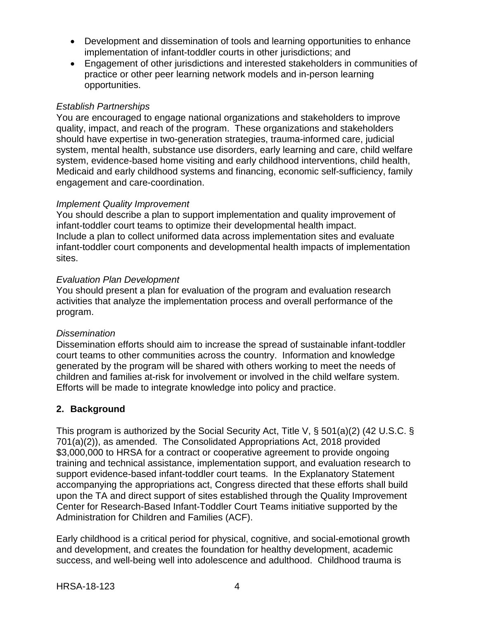- Development and dissemination of tools and learning opportunities to enhance implementation of infant-toddler courts in other jurisdictions; and
- Engagement of other jurisdictions and interested stakeholders in communities of practice or other peer learning network models and in-person learning opportunities.

### *Establish Partnerships*

You are encouraged to engage national organizations and stakeholders to improve quality, impact, and reach of the program. These organizations and stakeholders should have expertise in two-generation strategies, trauma-informed care, judicial system, mental health, substance use disorders, early learning and care, child welfare system, evidence-based home visiting and early childhood interventions, child health, Medicaid and early childhood systems and financing, economic self-sufficiency, family engagement and care-coordination.

#### *Implement Quality Improvement*

You should describe a plan to support implementation and quality improvement of infant-toddler court teams to optimize their developmental health impact. Include a plan to collect uniformed data across implementation sites and evaluate infant-toddler court components and developmental health impacts of implementation sites.

### *Evaluation Plan Development*

You should present a plan for evaluation of the program and evaluation research activities that analyze the implementation process and overall performance of the program.

#### *Dissemination*

Dissemination efforts should aim to increase the spread of sustainable infant-toddler court teams to other communities across the country. Information and knowledge generated by the program will be shared with others working to meet the needs of children and families at-risk for involvement or involved in the child welfare system. Efforts will be made to integrate knowledge into policy and practice.

## <span id="page-7-0"></span>**2. Background**

This program is authorized by the Social Security Act, Title V, § 501(a)(2) (42 U.S.C. § 701(a)(2)), as amended. The Consolidated Appropriations Act, 2018 provided \$3,000,000 to HRSA for a contract or cooperative agreement to provide ongoing training and technical assistance, implementation support, and evaluation research to support evidence-based infant-toddler court teams. In the Explanatory Statement accompanying the appropriations act, Congress directed that these efforts shall build upon the TA and direct support of sites established through the Quality Improvement Center for Research-Based Infant-Toddler Court Teams initiative supported by the Administration for Children and Families (ACF).

Early childhood is a critical period for physical, cognitive, and social-emotional growth and development, and creates the foundation for healthy development, academic success, and well-being well into adolescence and adulthood. Childhood trauma is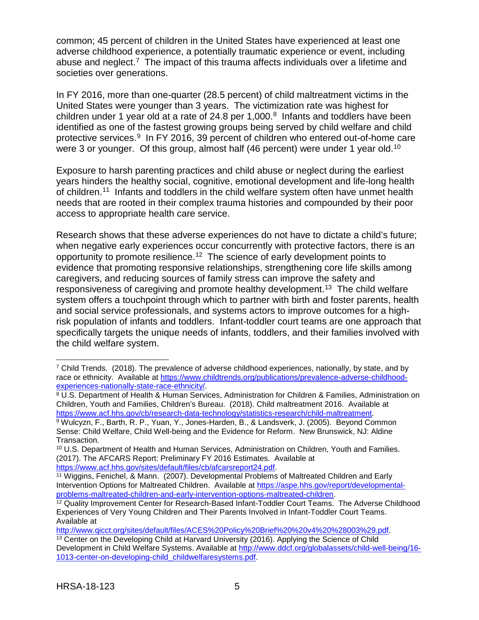common; 45 percent of children in the United States have experienced at least one adverse childhood experience, a potentially traumatic experience or event, including abuse and neglect.<sup>[7](#page-8-0)</sup> The impact of this trauma affects individuals over a lifetime and societies over generations.

In FY 2016, more than one-quarter (28.5 percent) of child maltreatment victims in the United States were younger than 3 years. The victimization rate was highest for children under 1 year old at a rate of 24.[8](#page-8-1) per  $1,000$ .<sup>8</sup> Infants and toddlers have been identified as one of the fastest growing groups being served by child welfare and child protective services.<sup>9</sup> In FY 2016, 3[9](#page-8-2) percent of children who entered out-of-home care were 3 or younger. Of this group, almost half (46 percent) were under 1 year old.<sup>10</sup>

Exposure to harsh parenting practices and child abuse or neglect during the earliest years hinders the healthy social, cognitive, emotional development and life-long health of children.<sup>[11](#page-8-4)</sup> Infants and toddlers in the child welfare system often have unmet health needs that are rooted in their complex trauma histories and compounded by their poor access to appropriate health care service.

Research shows that these adverse experiences do not have to dictate a child's future; when negative early experiences occur concurrently with protective factors, there is an opportunity to promote resilience.[12](#page-8-5) The science of early development points to evidence that promoting responsive relationships, strengthening core life skills among caregivers, and reducing sources of family stress can improve the safety and responsiveness of caregiving and promote healthy development.<sup>13</sup> The child welfare system offers a touchpoint through which to partner with birth and foster parents, health and social service professionals, and systems actors to improve outcomes for a highrisk population of infants and toddlers. Infant-toddler court teams are one approach that specifically targets the unique needs of infants, toddlers, and their families involved with the child welfare system.

 $\overline{a}$ 

<span id="page-8-0"></span> $\frac{7}{1}$  Child Trends. (2018). The prevalence of adverse childhood experiences, nationally, by state, and by race or ethnicity. Available at [https://www.childtrends.org/publications/prevalence-adverse-childhood](https://www.childtrends.org/publications/prevalence-adverse-childhood-experiences-nationally-state-race-ethnicity/)[experiences-nationally-state-race-ethnicity/.](https://www.childtrends.org/publications/prevalence-adverse-childhood-experiences-nationally-state-race-ethnicity/)

<span id="page-8-1"></span><sup>8</sup> U.S. Department of Health & Human Services, Administration for Children & Families, Administration on Children, Youth and Families, Children's Bureau. (2018). Child maltreatment 2016. Available at https://www.acf.hhs.gov/cb/research-data-technology/statistics-research/child-maltreatment.

<span id="page-8-2"></span><sup>&</sup>lt;sup>9</sup> Wulcyzn, F., Barth, R. P., Yuan, Y., Jones-Harden, B., & Landsverk, J. (2005). Beyond Common Sense: Child Welfare, Child Well-being and the Evidence for Reform. New Brunswick, NJ: Aldine Transaction.

<span id="page-8-3"></span><sup>10</sup> U.S. Department of Health and Human Services, Administration on Children, Youth and Families. (2017). The AFCARS Report: Preliminary FY 2016 Estimates. Available at [https://www.acf.hhs.gov/sites/default/files/cb/afcarsreport24.pdf.](https://www.acf.hhs.gov/sites/default/files/cb/afcarsreport24.pdf)

<span id="page-8-4"></span><sup>11</sup> Wiggins, Fenichel, & Mann. (2007). Developmental Problems of Maltreated Children and Early Intervention Options for Maltreated Children. Available at https://aspe.hhs.gov/report/developmental-<br>problems-maltreated-children-and-early-intervention-options-maltreated-children.

<span id="page-8-5"></span><sup>&</sup>lt;sup>12</sup> Quality Improvement Center for Research-Based Infant-Toddler Court Teams. The Adverse Childhood Experiences of Very Young Children and Their Parents Involved in Infant-Toddler Court Teams. Available at

<span id="page-8-6"></span>[http://www.qicct.org/sites/default/files/ACES%20Policy%20Brief%20%20v4%20%28003%29.pdf.](http://www.qicct.org/sites/default/files/ACES%20Policy%20Brief%20%20v4%20%28003%29.pdf) <sup>13</sup> Center on the Developing Child at Harvard University (2016). Applying the Science of Child

Development in Child Welfare Systems. Available at [http://www.ddcf.org/globalassets/child-well-being/16-](http://www.ddcf.org/globalassets/child-well-being/16-1013-center-on-developing-child_childwelfaresystems.pdf) [1013-center-on-developing-child\\_childwelfaresystems.pdf.](http://www.ddcf.org/globalassets/child-well-being/16-1013-center-on-developing-child_childwelfaresystems.pdf)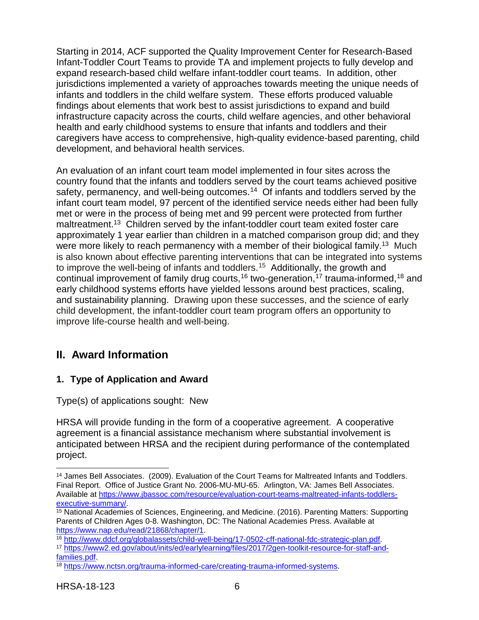Starting in 2014, ACF supported the Quality Improvement Center for Research-Based Infant-Toddler Court Teams to provide TA and implement projects to fully develop and expand research-based child welfare infant-toddler court teams. In addition, other jurisdictions implemented a variety of approaches towards meeting the unique needs of infants and toddlers in the child welfare system. These efforts produced valuable findings about elements that work best to assist jurisdictions to expand and build infrastructure capacity across the courts, child welfare agencies, and other behavioral health and early childhood systems to ensure that infants and toddlers and their caregivers have access to comprehensive, high-quality evidence-based parenting, child development, and behavioral health services.

An evaluation of an infant court team model implemented in four sites across the country found that the infants and toddlers served by the court teams achieved positive safety, permanency, and well-being outcomes.<sup>[14](#page-9-2)</sup> Of infants and toddlers served by the infant court team model, 97 percent of the identified service needs either had been fully met or were in the process of being met and 99 percent were protected from further maltreatment.<sup>13</sup> Children served by the infant-toddler court team exited foster care approximately 1 year earlier than children in a matched comparison group did; and they were more likely to reach permanency with a member of their biological family.<sup>13</sup> Much is also known about effective parenting interventions that can be integrated into systems to improve the well-being of infants and toddlers.<sup>15</sup> Additionally, the growth and continual improvement of family drug courts,<sup>[16](#page-9-4)</sup> two-generation,<sup>[17](#page-9-5)</sup> trauma-informed,<sup>[18](#page-9-6)</sup> and early childhood systems efforts have yielded lessons around best practices, scaling, and sustainability planning. Drawing upon these successes, and the science of early child development, the infant-toddler court team program offers an opportunity to improve life-course health and well-being.

## <span id="page-9-0"></span>**II. Award Information**

## <span id="page-9-1"></span>**1. Type of Application and Award**

Type(s) of applications sought: New

HRSA will provide funding in the form of a cooperative agreement. A cooperative agreement is a financial assistance mechanism where substantial involvement is anticipated between HRSA and the recipient during performance of the contemplated project.

 $\overline{a}$ 

<span id="page-9-2"></span><sup>14</sup> James Bell Associates. (2009). Evaluation of the Court Teams for Maltreated Infants and Toddlers. Final Report. Office of Justice Grant No. 2006-MU-MU-65. Arlington, VA: James Bell Associates. Available at [https://www.jbassoc.com/resource/evaluation-court-teams-maltreated-infants-toddlers](https://www.jbassoc.com/resource/evaluation-court-teams-maltreated-infants-toddlers-executive-summary/)[executive-summary/.](https://www.jbassoc.com/resource/evaluation-court-teams-maltreated-infants-toddlers-executive-summary/)

<span id="page-9-3"></span><sup>15</sup> National Academies of Sciences, Engineering, and Medicine. (2016). Parenting Matters: Supporting Parents of Children Ages 0-8. Washington, DC: The National Academies Press. Available at [https://www.nap.edu/read/21868/chapter/1.](https://www.nap.edu/read/21868/chapter/1)<br><sup>16</sup> http://www.ddcf.org/globalassets/child-well-being/17-0502-cff-national-fdc-strategic-plan.pdf.

<span id="page-9-4"></span>

<span id="page-9-5"></span><sup>&</sup>lt;sup>17</sup> https://www2.ed.gov/about/inits/ed/earlylearning/files/2017/2gen-toolkit-resource-for-staff-and-<br>families.pdf.

<span id="page-9-6"></span> $\frac{18 \text{ https://www.nctsn.ora/trauma-informed-care/creating-trauma-informed-svstems.}}{8 \text{ https://www.nctsn.ora/trauma-informed-care/creating-trauma-informed-svstems.}}$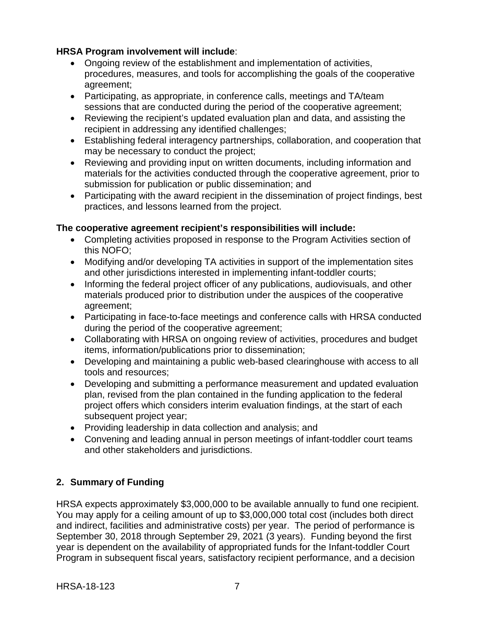## **HRSA Program involvement will include**:

- Ongoing review of the establishment and implementation of activities, procedures, measures, and tools for accomplishing the goals of the cooperative agreement;
- Participating, as appropriate, in conference calls, meetings and TA/team sessions that are conducted during the period of the cooperative agreement;
- Reviewing the recipient's updated evaluation plan and data, and assisting the recipient in addressing any identified challenges;
- Establishing federal interagency partnerships, collaboration, and cooperation that may be necessary to conduct the project;
- Reviewing and providing input on written documents, including information and materials for the activities conducted through the cooperative agreement, prior to submission for publication or public dissemination; and
- Participating with the award recipient in the dissemination of project findings, best practices, and lessons learned from the project.

## **The cooperative agreement recipient's responsibilities will include:**

- Completing activities proposed in response to the Program Activities section of this NOFO;
- Modifying and/or developing TA activities in support of the implementation sites and other jurisdictions interested in implementing infant-toddler courts;
- Informing the federal project officer of any publications, audiovisuals, and other materials produced prior to distribution under the auspices of the cooperative agreement;
- Participating in face-to-face meetings and conference calls with HRSA conducted during the period of the cooperative agreement;
- Collaborating with HRSA on ongoing review of activities, procedures and budget items, information/publications prior to dissemination;
- Developing and maintaining a public web-based clearinghouse with access to all tools and resources;
- Developing and submitting a performance measurement and updated evaluation plan, revised from the plan contained in the funding application to the federal project offers which considers interim evaluation findings, at the start of each subsequent project year;
- Providing leadership in data collection and analysis; and
- Convening and leading annual in person meetings of infant-toddler court teams and other stakeholders and jurisdictions.

## <span id="page-10-0"></span>**2. Summary of Funding**

HRSA expects approximately \$3,000,000 to be available annually to fund one recipient. You may apply for a ceiling amount of up to \$3,000,000 total cost (includes both direct and indirect, facilities and administrative costs) per year. The period of performance is September 30, 2018 through September 29, 2021 (3 years). Funding beyond the first year is dependent on the availability of appropriated funds for the Infant-toddler Court Program in subsequent fiscal years, satisfactory recipient performance, and a decision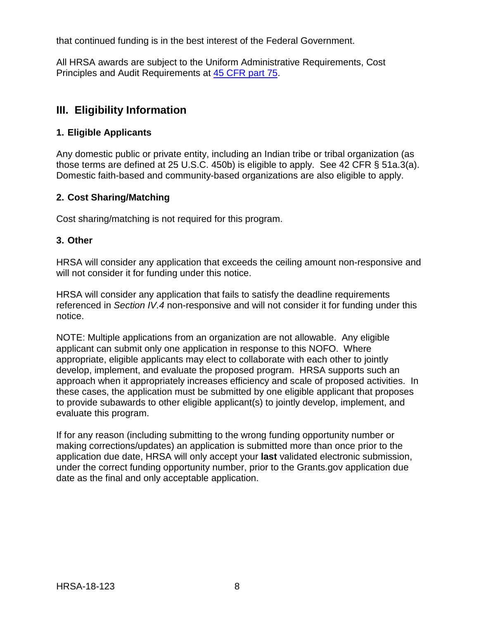that continued funding is in the best interest of the Federal Government.

All HRSA awards are subject to the Uniform Administrative Requirements, Cost Principles and Audit Requirements at [45 CFR part 75.](http://www.ecfr.gov/cgi-bin/retrieveECFR?gp=1&SID=4d52364ec83fab994c665943dadf9cf7&ty=HTML&h=L&r=PART&n=pt45.1.75)

## <span id="page-11-1"></span>**III. Eligibility Information**

## <span id="page-11-0"></span>**1. Eligible Applicants**

Any domestic public or private entity, including an Indian tribe or tribal organization (as those terms are defined at 25 U.S.C. 450b) is eligible to apply. See 42 CFR § 51a.3(a). Domestic faith-based and community-based organizations are also eligible to apply.

## <span id="page-11-2"></span>**2. Cost Sharing/Matching**

Cost sharing/matching is not required for this program.

## <span id="page-11-3"></span>**3. Other**

HRSA will consider any application that exceeds the ceiling amount non-responsive and will not consider it for funding under this notice.

HRSA will consider any application that fails to satisfy the deadline requirements referenced in *Section IV.4* non-responsive and will not consider it for funding under this notice.

NOTE: Multiple applications from an organization are not allowable. Any eligible applicant can submit only one application in response to this NOFO. Where appropriate, eligible applicants may elect to collaborate with each other to jointly develop, implement, and evaluate the proposed program. HRSA supports such an approach when it appropriately increases efficiency and scale of proposed activities. In these cases, the application must be submitted by one eligible applicant that proposes to provide subawards to other eligible applicant(s) to jointly develop, implement, and evaluate this program.

<span id="page-11-4"></span>If for any reason (including submitting to the wrong funding opportunity number or making corrections/updates) an application is submitted more than once prior to the application due date, HRSA will only accept your **last** validated electronic submission, under the correct funding opportunity number, prior to the Grants.gov application due date as the final and only acceptable application.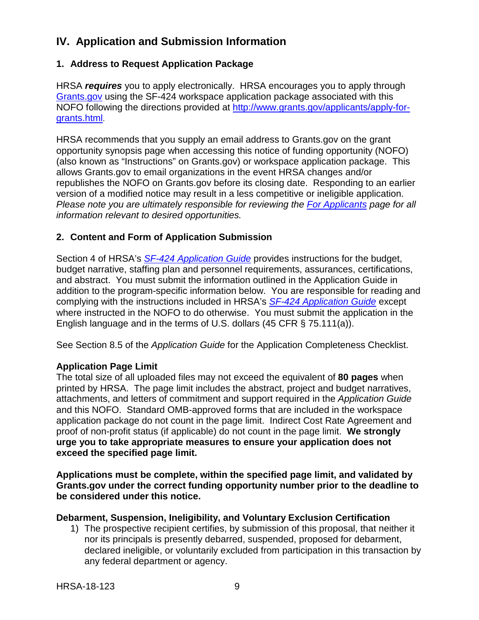## **IV. Application and Submission Information**

## <span id="page-12-0"></span>**1. Address to Request Application Package**

HRSA *requires* you to apply electronically. HRSA encourages you to apply through [Grants.gov](https://www.grants.gov/) using the SF-424 workspace application package associated with this NOFO following the directions provided at [http://www.grants.gov/applicants/apply-for](http://www.grants.gov/applicants/apply-for-grants.html)[grants.html.](http://www.grants.gov/applicants/apply-for-grants.html)

HRSA recommends that you supply an email address to Grants.gov on the grant opportunity synopsis page when accessing this notice of funding opportunity (NOFO) (also known as "Instructions" on Grants.gov) or workspace application package. This allows Grants.gov to email organizations in the event HRSA changes and/or republishes the NOFO on Grants.gov before its closing date. Responding to an earlier version of a modified notice may result in a less competitive or ineligible application. *Please note you are ultimately responsible for reviewing the [For Applicants](https://www.grants.gov/web/grants/applicants.html) page for all information relevant to desired opportunities.*

### <span id="page-12-1"></span>**2. Content and Form of Application Submission**

Section 4 of HRSA's *SF-424 [Application Guide](http://www.hrsa.gov/grants/apply/applicationguide/sf424guide.pdf)* provides instructions for the budget, budget narrative, staffing plan and personnel requirements, assurances, certifications, and abstract. You must submit the information outlined in the Application Guide in addition to the program-specific information below. You are responsible for reading and complying with the instructions included in HRSA's *SF-424 [Application Guide](http://www.hrsa.gov/grants/apply/applicationguide/sf424guide.pdf)* except where instructed in the NOFO to do otherwise. You must submit the application in the English language and in the terms of U.S. dollars (45 CFR § 75.111(a)).

See Section 8.5 of the *Application Guide* for the Application Completeness Checklist.

#### **Application Page Limit**

The total size of all uploaded files may not exceed the equivalent of **80 pages** when printed by HRSA. The page limit includes the abstract, project and budget narratives, attachments, and letters of commitment and support required in the *Application Guide* and this NOFO. Standard OMB-approved forms that are included in the workspace application package do not count in the page limit. Indirect Cost Rate Agreement and proof of non-profit status (if applicable) do not count in the page limit. **We strongly urge you to take appropriate measures to ensure your application does not exceed the specified page limit.**

**Applications must be complete, within the specified page limit, and validated by Grants.gov under the correct funding opportunity number prior to the deadline to be considered under this notice.**

#### **Debarment, Suspension, Ineligibility, and Voluntary Exclusion Certification**

1) The prospective recipient certifies, by submission of this proposal, that neither it nor its principals is presently debarred, suspended, proposed for debarment, declared ineligible, or voluntarily excluded from participation in this transaction by any federal department or agency.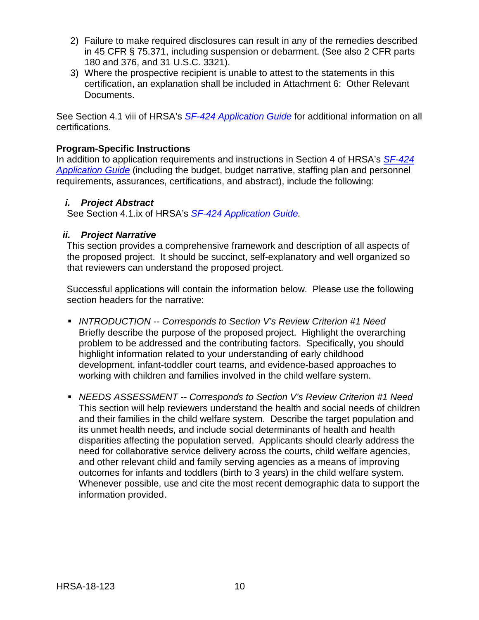- 2) Failure to make required disclosures can result in any of the remedies described in 45 CFR § 75.371, including suspension or debarment. (See also 2 CFR parts 180 and 376, and 31 U.S.C. 3321).
- 3) Where the prospective recipient is unable to attest to the statements in this certification, an explanation shall be included in Attachment 6: Other Relevant Documents.

See Section 4.1 viii of HRSA's *SF-424 [Application Guide](http://www.hrsa.gov/grants/apply/applicationguide/sf424guide.pdf)* for additional information on all certifications.

## **Program-Specific Instructions**

In addition to application requirements and instructions in Section 4 of HRSA's *[SF-424](http://www.hrsa.gov/grants/apply/applicationguide/sf424guide.pdf) [Application Guide](http://www.hrsa.gov/grants/apply/applicationguide/sf424guide.pdf)* (including the budget, budget narrative, staffing plan and personnel requirements, assurances, certifications, and abstract), include the following:

### <span id="page-13-0"></span>*i. Project Abstract*

See Section 4.1.ix of HRSA's *SF-424 [Application Guide.](http://www.hrsa.gov/grants/apply/applicationguide/sf424guide.pdf)*

### <span id="page-13-1"></span>*ii. Project Narrative*

This section provides a comprehensive framework and description of all aspects of the proposed project. It should be succinct, self-explanatory and well organized so that reviewers can understand the proposed project.

Successful applications will contain the information below. Please use the following section headers for the narrative:

- *INTRODUCTION -- Corresponds to Section V's Review Criterion #1 Need* Briefly describe the purpose of the proposed project. Highlight the overarching problem to be addressed and the contributing factors. Specifically, you should highlight information related to your understanding of early childhood development, infant-toddler court teams, and evidence-based approaches to working with children and families involved in the child welfare system.
- *NEEDS ASSESSMENT -- Corresponds to Section V's Review Criterion #1 Need* This section will help reviewers understand the health and social needs of children and their families in the child welfare system. Describe the target population and its unmet health needs, and include social determinants of health and health disparities affecting the population served. Applicants should clearly address the need for collaborative service delivery across the courts, child welfare agencies, and other relevant child and family serving agencies as a means of improving outcomes for infants and toddlers (birth to 3 years) in the child welfare system. Whenever possible, use and cite the most recent demographic data to support the information provided.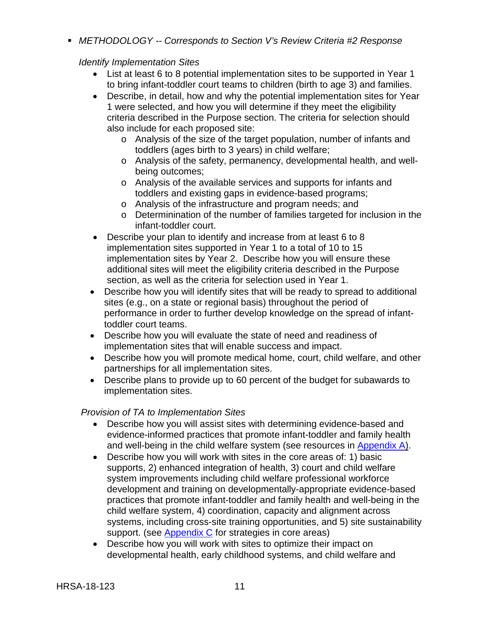*METHODOLOGY -- Corresponds to Section V's Review Criteria #2 Response* 

### *Identify Implementation Sites*

- List at least 6 to 8 potential implementation sites to be supported in Year 1 to bring infant-toddler court teams to children (birth to age 3) and families.
- Describe, in detail, how and why the potential implementation sites for Year 1 were selected, and how you will determine if they meet the eligibility criteria described in the Purpose section. The criteria for selection should also include for each proposed site:
	- o Analysis of the size of the target population, number of infants and toddlers (ages birth to 3 years) in child welfare;
	- o Analysis of the safety, permanency, developmental health, and wellbeing outcomes;
	- o Analysis of the available services and supports for infants and toddlers and existing gaps in evidence-based programs;
	- o Analysis of the infrastructure and program needs; and
	- o Determinination of the number of families targeted for inclusion in the infant-toddler court.
- Describe your plan to identify and increase from at least 6 to 8 implementation sites supported in Year 1 to a total of 10 to 15 implementation sites by Year 2. Describe how you will ensure these additional sites will meet the eligibility criteria described in the Purpose section, as well as the criteria for selection used in Year 1.
- Describe how you will identify sites that will be ready to spread to additional sites (e.g., on a state or regional basis) throughout the period of performance in order to further develop knowledge on the spread of infanttoddler court teams.
- Describe how you will evaluate the state of need and readiness of implementation sites that will enable success and impact.
- Describe how you will promote medical home, court, child welfare, and other partnerships for all implementation sites.
- Describe plans to provide up to 60 percent of the budget for subawards to implementation sites.

#### *Provision of TA to Implementation Sites*

- Describe how you will assist sites with determining evidence-based and evidence-informed practices that promote infant-toddler and family health and well-being in the child welfare system (see resources in [Appendix A\)](#page-34-0).
- Describe how you will work with sites in the core areas of: 1) basic supports, 2) enhanced integration of health, 3) court and child welfare system improvements including child welfare professional workforce development and training on developmentally-appropriate evidence-based practices that promote infant-toddler and family health and well-being in the child welfare system, 4) coordination, capacity and alignment across systems, including cross-site training opportunities, and 5) site sustainability support. (see [Appendix C](https://sharepoint.hrsa.gov/teams/mchb/opp/Collaborative%20Workspace/Infant-Toddler%20Courts/NOFO/IOA%20comments/HRSA-18-123%20Infant-toddler%20court%20IOA-6-15-2018commentsV2_MRGD_mchb_trckd%20change%20(2).docx#Appendix_C) for strategies in core areas)
- Describe how you will work with sites to optimize their impact on developmental health, early childhood systems, and child welfare and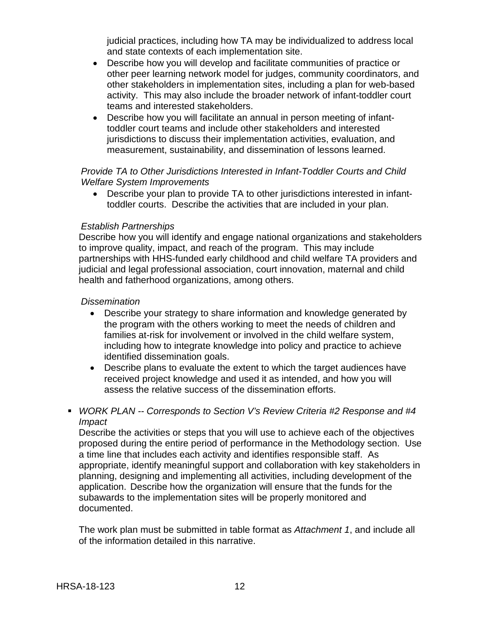judicial practices, including how TA may be individualized to address local and state contexts of each implementation site.

- Describe how you will develop and facilitate communities of practice or other peer learning network model for judges, community coordinators, and other stakeholders in implementation sites, including a plan for web-based activity. This may also include the broader network of infant-toddler court teams and interested stakeholders.
- Describe how you will facilitate an annual in person meeting of infanttoddler court teams and include other stakeholders and interested jurisdictions to discuss their implementation activities, evaluation, and measurement, sustainability, and dissemination of lessons learned.

### *Provide TA to Other Jurisdictions Interested in Infant-Toddler Courts and Child Welfare System Improvements*

• Describe your plan to provide TA to other jurisdictions interested in infanttoddler courts. Describe the activities that are included in your plan.

### *Establish Partnerships*

Describe how you will identify and engage national organizations and stakeholders to improve quality, impact, and reach of the program. This may include partnerships with HHS-funded early childhood and child welfare TA providers and judicial and legal professional association, court innovation, maternal and child health and fatherhood organizations, among others.

#### *Dissemination*

- Describe your strategy to share information and knowledge generated by the program with the others working to meet the needs of children and families at-risk for involvement or involved in the child welfare system, including how to integrate knowledge into policy and practice to achieve identified dissemination goals.
- Describe plans to evaluate the extent to which the target audiences have received project knowledge and used it as intended, and how you will assess the relative success of the dissemination efforts.
- *WORK PLAN -- Corresponds to Section V's Review Criteria #2 Response and #4 Impact*

Describe the activities or steps that you will use to achieve each of the objectives proposed during the entire period of performance in the Methodology section. Use a time line that includes each activity and identifies responsible staff. As appropriate, identify meaningful support and collaboration with key stakeholders in planning, designing and implementing all activities, including development of the application. Describe how the organization will ensure that the funds for the subawards to the implementation sites will be properly monitored and documented.

The work plan must be submitted in table format as *Attachment 1*, and include all of the information detailed in this narrative.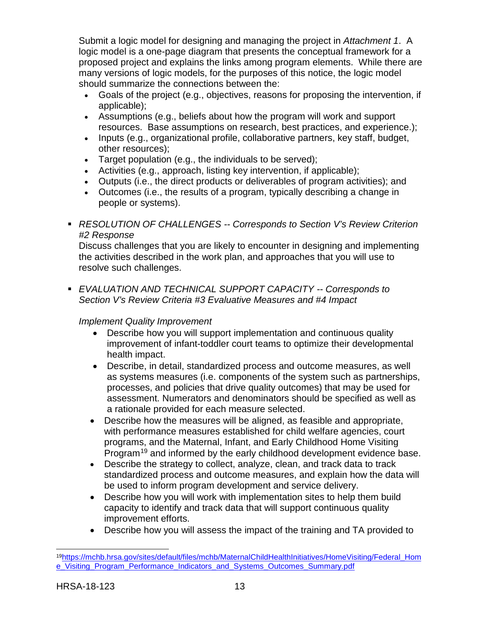Submit a logic model for designing and managing the project in *Attachment 1*. A logic model is a one-page diagram that presents the conceptual framework for a proposed project and explains the links among program elements. While there are many versions of logic models, for the purposes of this notice, the logic model should summarize the connections between the:

- Goals of the project (e.g., objectives, reasons for proposing the intervention, if applicable);
- Assumptions (e.g., beliefs about how the program will work and support resources. Base assumptions on research, best practices, and experience.);
- Inputs (e.g., organizational profile, collaborative partners, key staff, budget, other resources);
- Target population (e.g., the individuals to be served);
- Activities (e.g., approach, listing key intervention, if applicable);
- Outputs (i.e., the direct products or deliverables of program activities); and
- Outcomes (i.e., the results of a program, typically describing a change in people or systems).
- *RESOLUTION OF CHALLENGES -- Corresponds to Section V's Review Criterion #2 Response*

Discuss challenges that you are likely to encounter in designing and implementing the activities described in the work plan, and approaches that you will use to resolve such challenges.

 *EVALUATION AND TECHNICAL SUPPORT CAPACITY -- Corresponds to Section V's Review Criteria #3 Evaluative Measures and #4 Impact*

## *Implement Quality Improvement*

- Describe how you will support implementation and continuous quality improvement of infant-toddler court teams to optimize their developmental health impact.
- Describe, in detail, standardized process and outcome measures, as well as systems measures (i.e. components of the system such as partnerships, processes, and policies that drive quality outcomes) that may be used for assessment. Numerators and denominators should be specified as well as a rationale provided for each measure selected.
- Describe how the measures will be aligned, as feasible and appropriate, with performance measures established for child welfare agencies, court programs, and the Maternal, Infant, and Early Childhood Home Visiting Program<sup>[19](#page-16-0)</sup> and informed by the early childhood development evidence base.
- Describe the strategy to collect, analyze, clean, and track data to track standardized process and outcome measures, and explain how the data will be used to inform program development and service delivery.
- Describe how you will work with implementation sites to help them build capacity to identify and track data that will support continuous quality improvement efforts.
- Describe how you will assess the impact of the training and TA provided to

<span id="page-16-0"></span> $\overline{a}$ 1[9https://mchb.hrsa.gov/sites/default/files/mchb/MaternalChildHealthInitiatives/HomeVisiting/Federal\\_Hom](https://mchb.hrsa.gov/sites/default/files/mchb/MaternalChildHealthInitiatives/HomeVisiting/Federal_Home_Visiting_Program_Performance_Indicators_and_Systems_Outcomes_Summary.pdf) [e\\_Visiting\\_Program\\_Performance\\_Indicators\\_and\\_Systems\\_Outcomes\\_Summary.pdf](https://mchb.hrsa.gov/sites/default/files/mchb/MaternalChildHealthInitiatives/HomeVisiting/Federal_Home_Visiting_Program_Performance_Indicators_and_Systems_Outcomes_Summary.pdf)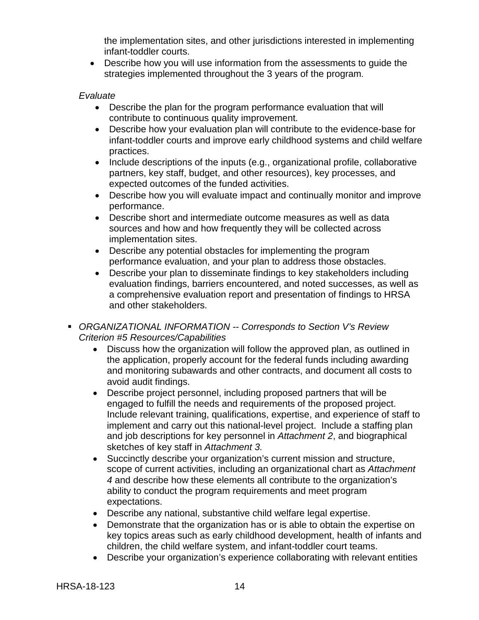the implementation sites, and other jurisdictions interested in implementing infant-toddler courts.

• Describe how you will use information from the assessments to guide the strategies implemented throughout the 3 years of the program.

#### *Evaluate*

- Describe the plan for the program performance evaluation that will contribute to continuous quality improvement.
- Describe how your evaluation plan will contribute to the evidence-base for infant-toddler courts and improve early childhood systems and child welfare practices.
- Include descriptions of the inputs (e.g., organizational profile, collaborative partners, key staff, budget, and other resources), key processes, and expected outcomes of the funded activities.
- Describe how you will evaluate impact and continually monitor and improve performance.
- Describe short and intermediate outcome measures as well as data sources and how and how frequently they will be collected across implementation sites.
- Describe any potential obstacles for implementing the program performance evaluation, and your plan to address those obstacles.
- Describe your plan to disseminate findings to key stakeholders including evaluation findings, barriers encountered, and noted successes, as well as a comprehensive evaluation report and presentation of findings to HRSA and other stakeholders.
- *ORGANIZATIONAL INFORMATION -- Corresponds to Section V's Review Criterion #5 Resources/Capabilities*
	- Discuss how the organization will follow the approved plan, as outlined in the application, properly account for the federal funds including awarding and monitoring subawards and other contracts, and document all costs to avoid audit findings.
	- Describe project personnel, including proposed partners that will be engaged to fulfill the needs and requirements of the proposed project. Include relevant training, qualifications, expertise, and experience of staff to implement and carry out this national-level project. Include a staffing plan and job descriptions for key personnel in *Attachment 2*, and biographical sketches of key staff in *Attachment 3.*
	- Succinctly describe your organization's current mission and structure, scope of current activities, including an organizational chart as *Attachment 4* and describe how these elements all contribute to the organization's ability to conduct the program requirements and meet program expectations.
	- Describe any national, substantive child welfare legal expertise.
	- Demonstrate that the organization has or is able to obtain the expertise on key topics areas such as early childhood development, health of infants and children, the child welfare system, and infant-toddler court teams.
	- Describe your organization's experience collaborating with relevant entities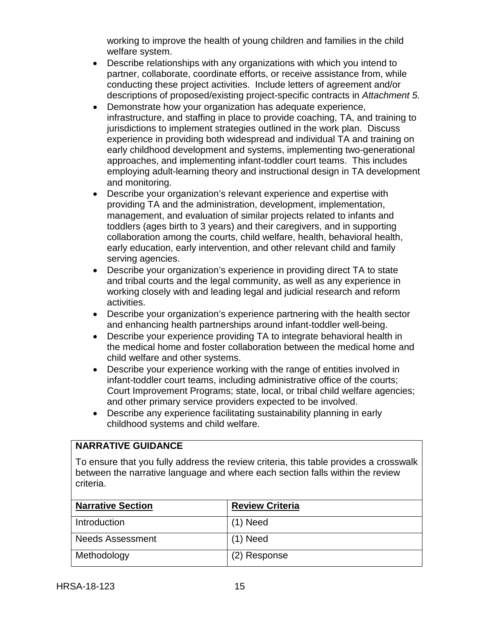working to improve the health of young children and families in the child welfare system.

- Describe relationships with any organizations with which you intend to partner, collaborate, coordinate efforts, or receive assistance from, while conducting these project activities. Include letters of agreement and/or descriptions of proposed/existing project-specific contracts in *Attachment 5.*
- Demonstrate how your organization has adequate experience, infrastructure, and staffing in place to provide coaching, TA, and training to jurisdictions to implement strategies outlined in the work plan. Discuss experience in providing both widespread and individual TA and training on early childhood development and systems, implementing two-generational approaches, and implementing infant-toddler court teams. This includes employing adult-learning theory and instructional design in TA development and monitoring.
- Describe your organization's relevant experience and expertise with providing TA and the administration, development, implementation, management, and evaluation of similar projects related to infants and toddlers (ages birth to 3 years) and their caregivers, and in supporting collaboration among the courts, child welfare, health, behavioral health, early education, early intervention, and other relevant child and family serving agencies.
- Describe your organization's experience in providing direct TA to state and tribal courts and the legal community, as well as any experience in working closely with and leading legal and judicial research and reform activities.
- Describe your organization's experience partnering with the health sector and enhancing health partnerships around infant-toddler well-being.
- Describe your experience providing TA to integrate behavioral health in the medical home and foster collaboration between the medical home and child welfare and other systems.
- Describe your experience working with the range of entities involved in infant-toddler court teams, including administrative office of the courts; Court Improvement Programs; state, local, or tribal child welfare agencies; and other primary service providers expected to be involved.
- Describe any experience facilitating sustainability planning in early childhood systems and child welfare.

## **NARRATIVE GUIDANCE**

To ensure that you fully address the review criteria, this table provides a crosswalk between the narrative language and where each section falls within the review criteria.

| <b>Narrative Section</b> | <b>Review Criteria</b> |
|--------------------------|------------------------|
| Introduction             | $(1)$ Need             |
| <b>Needs Assessment</b>  | $(1)$ Need             |
| Methodology              | (2) Response           |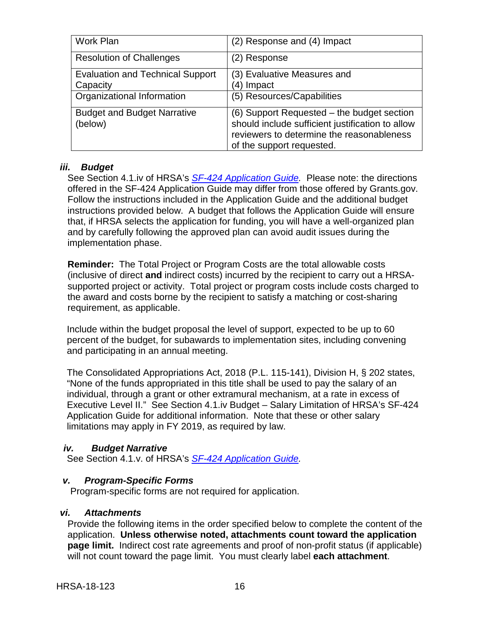| Work Plan                                           | (2) Response and (4) Impact                                                                                                                                              |
|-----------------------------------------------------|--------------------------------------------------------------------------------------------------------------------------------------------------------------------------|
| <b>Resolution of Challenges</b>                     | (2) Response                                                                                                                                                             |
| <b>Evaluation and Technical Support</b><br>Capacity | (3) Evaluative Measures and<br>(4) Impact                                                                                                                                |
| Organizational Information                          | (5) Resources/Capabilities                                                                                                                                               |
| <b>Budget and Budget Narrative</b><br>(below)       | (6) Support Requested - the budget section<br>should include sufficient justification to allow<br>reviewers to determine the reasonableness<br>of the support requested. |

### <span id="page-19-0"></span>*iii. Budget*

See Section 4.1.iv of HRSA's *SF-424 [Application Guide.](http://www.hrsa.gov/grants/apply/applicationguide/sf424guide.pdf)* Please note: the directions offered in the SF-424 Application Guide may differ from those offered by Grants.gov. Follow the instructions included in the Application Guide and the additional budget instructions provided below. A budget that follows the Application Guide will ensure that, if HRSA selects the application for funding, you will have a well-organized plan and by carefully following the approved plan can avoid audit issues during the implementation phase.

**Reminder:** The Total Project or Program Costs are the total allowable costs (inclusive of direct **and** indirect costs) incurred by the recipient to carry out a HRSAsupported project or activity. Total project or program costs include costs charged to the award and costs borne by the recipient to satisfy a matching or cost-sharing requirement, as applicable.

Include within the budget proposal the level of support, expected to be up to 60 percent of the budget, for subawards to implementation sites, including convening and participating in an annual meeting.

The Consolidated Appropriations Act, 2018 (P.L. 115-141), Division H, § 202 states, "None of the funds appropriated in this title shall be used to pay the salary of an individual, through a grant or other extramural mechanism, at a rate in excess of Executive Level II." See Section 4.1.iv Budget – Salary Limitation of HRSA's SF-424 Application Guide for additional information. Note that these or other salary limitations may apply in FY 2019, as required by law.

#### <span id="page-19-1"></span>*iv. Budget Narrative*

See Section 4.1.v. of HRSA's *SF-424 [Application Guide.](http://www.hrsa.gov/grants/apply/applicationguide/sf424guide.pdf)*

#### <span id="page-19-2"></span>*v. Program-Specific Forms*

Program-specific forms are not required for application.

#### <span id="page-19-3"></span>*vi. Attachments*

Provide the following items in the order specified below to complete the content of the application. **Unless otherwise noted, attachments count toward the application page limit.** Indirect cost rate agreements and proof of non-profit status (if applicable) will not count toward the page limit. You must clearly label **each attachment**.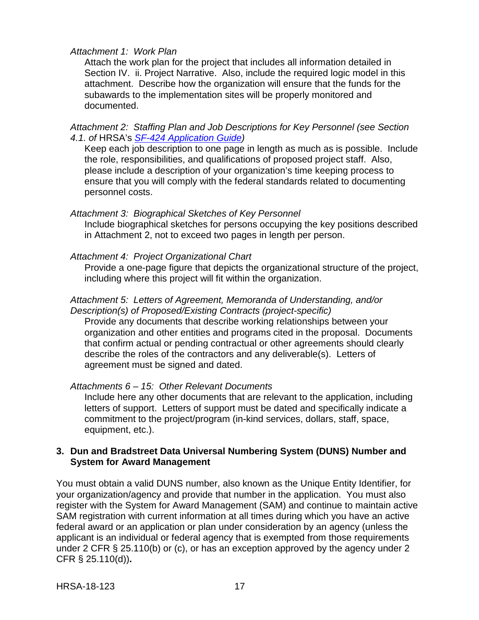#### *Attachment 1: Work Plan*

Attach the work plan for the project that includes all information detailed in Section IV. ii. Project Narrative. Also, include the required logic model in this attachment. Describe how the organization will ensure that the funds for the subawards to the implementation sites will be properly monitored and documented.

*Attachment 2: Staffing Plan and Job Descriptions for Key Personnel (see Section 4.1. of* HRSA's *SF-424 [Application Guide\)](http://www.hrsa.gov/grants/apply/applicationguide/sf424guide.pdf)*

Keep each job description to one page in length as much as is possible. Include the role, responsibilities, and qualifications of proposed project staff. Also, please include a description of your organization's time keeping process to ensure that you will comply with the federal standards related to documenting personnel costs.

#### *Attachment 3: Biographical Sketches of Key Personnel*

Include biographical sketches for persons occupying the key positions described in Attachment 2, not to exceed two pages in length per person.

#### *Attachment 4: Project Organizational Chart*

Provide a one-page figure that depicts the organizational structure of the project, including where this project will fit within the organization.

#### *Attachment 5: Letters of Agreement, Memoranda of Understanding, and/or Description(s) of Proposed/Existing Contracts (project-specific)*

Provide any documents that describe working relationships between your organization and other entities and programs cited in the proposal. Documents that confirm actual or pending contractual or other agreements should clearly describe the roles of the contractors and any deliverable(s). Letters of agreement must be signed and dated.

#### *Attachments 6 – 15: Other Relevant Documents*

Include here any other documents that are relevant to the application, including letters of support. Letters of support must be dated and specifically indicate a commitment to the project/program (in-kind services, dollars, staff, space, equipment, etc.).

#### <span id="page-20-0"></span>**3. Dun and Bradstreet Data Universal Numbering System (DUNS) Number and System for Award Management**

You must obtain a valid DUNS number, also known as the Unique Entity Identifier, for your organization/agency and provide that number in the application. You must also register with the System for Award Management (SAM) and continue to maintain active SAM registration with current information at all times during which you have an active federal award or an application or plan under consideration by an agency (unless the applicant is an individual or federal agency that is exempted from those requirements under 2 CFR § 25.110(b) or (c), or has an exception approved by the agency under 2 CFR § 25.110(d))**.**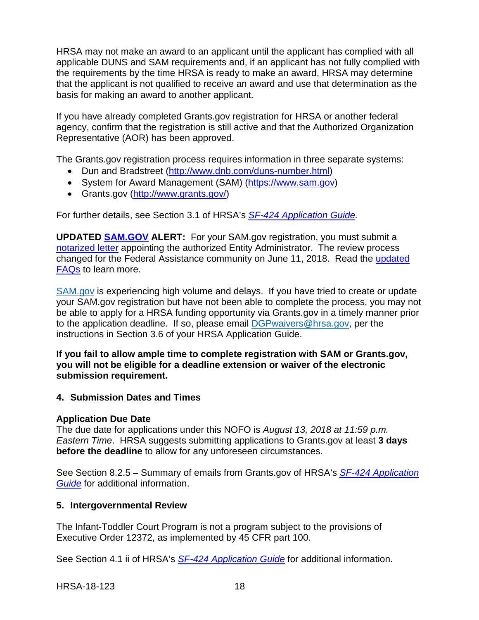HRSA may not make an award to an applicant until the applicant has complied with all applicable DUNS and SAM requirements and, if an applicant has not fully complied with the requirements by the time HRSA is ready to make an award, HRSA may determine that the applicant is not qualified to receive an award and use that determination as the basis for making an award to another applicant.

If you have already completed Grants.gov registration for HRSA or another federal agency, confirm that the registration is still active and that the Authorized Organization Representative (AOR) has been approved.

The Grants.gov registration process requires information in three separate systems:

- Dun and Bradstreet [\(http://www.dnb.com/duns-number.html\)](http://www.dnb.com/duns-number.html)
- System for Award Management (SAM) [\(https://www.sam.gov\)](https://www.sam.gov/)
- Grants.gov [\(http://www.grants.gov/\)](http://www.grants.gov/)

For further details, see Section 3.1 of HRSA's *SF-424 [Application Guide.](http://www.hrsa.gov/grants/apply/applicationguide/sf424guide.pdf)*

**UPDATED [SAM.GOV](http://sam.gov/) ALERT:** For your SAM.gov registration, you must submit a [notarized letter](https://www.fsd.gov/fsd-gov/answer.do?sysparm_kbid=d2e67885db0d5f00b3257d321f96194b&sysparm_search=kb0013183) appointing the authorized Entity Administrator. The review process changed for the Federal Assistance community on June 11, 2018. Read the [updated](https://www.gsa.gov/about-us/organization/federal-acquisition-service/office-of-systems-management/integrated-award-environment-iae/sam-update)  [FAQs](https://www.gsa.gov/about-us/organization/federal-acquisition-service/office-of-systems-management/integrated-award-environment-iae/sam-update) to learn more.

[SAM.gov](https://sam.gov/portal/SAM/) is experiencing high volume and delays. If you have tried to create or update your SAM.gov registration but have not been able to complete the process, you may not be able to apply for a HRSA funding opportunity via Grants.gov in a timely manner prior to the application deadline. If so, please email [DGPwaivers@hrsa.gov,](mailto:DGPwaivers@hrsa.gov) per the instructions in Section 3.6 of your HRSA Application Guide.

**If you fail to allow ample time to complete registration with SAM or Grants.gov, you will not be eligible for a deadline extension or waiver of the electronic submission requirement.**

#### <span id="page-21-0"></span>**4. Submission Dates and Times**

#### **Application Due Date**

The due date for applications under this NOFO is *August 13, 2018 at 11:59 p.m. Eastern Time*. HRSA suggests submitting applications to Grants.gov at least **3 days before the deadline** to allow for any unforeseen circumstances.

See Section 8.2.5 – Summary of emails from Grants.gov of HRSA's *[SF-424 Application](http://www.hrsa.gov/grants/apply/applicationguide/sf424guide.pdf)  [Guide](http://www.hrsa.gov/grants/apply/applicationguide/sf424guide.pdf)* for additional information.

#### <span id="page-21-1"></span>**5. Intergovernmental Review**

The Infant-Toddler Court Program is not a program subject to the provisions of Executive Order 12372, as implemented by 45 CFR part 100.

See Section 4.1 ii of HRSA's *SF-424 [Application Guide](http://www.hrsa.gov/grants/apply/applicationguide/sf424guide.pdf)* for additional information.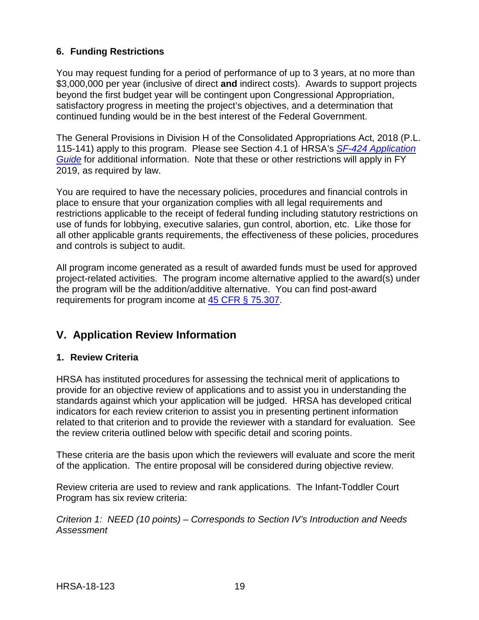## <span id="page-22-0"></span>**6. Funding Restrictions**

You may request funding for a period of performance of up to 3 years, at no more than \$3,000,000 per year (inclusive of direct **and** indirect costs). Awards to support projects beyond the first budget year will be contingent upon Congressional Appropriation, satisfactory progress in meeting the project's objectives, and a determination that continued funding would be in the best interest of the Federal Government.

The General Provisions in Division H of the Consolidated Appropriations Act, 2018 (P.L. 115-141) apply to this program. Please see Section 4.1 of HRSA's *SF-424 [Application](http://www.hrsa.gov/grants/apply/applicationguide/sf424guide.pdf)  [Guide](http://www.hrsa.gov/grants/apply/applicationguide/sf424guide.pdf)* for additional information. Note that these or other restrictions will apply in FY 2019, as required by law.

You are required to have the necessary policies, procedures and financial controls in place to ensure that your organization complies with all legal requirements and restrictions applicable to the receipt of federal funding including statutory restrictions on use of funds for lobbying, executive salaries, gun control, abortion, etc. Like those for all other applicable grants requirements, the effectiveness of these policies, procedures and controls is subject to audit.

All program income generated as a result of awarded funds must be used for approved project-related activities. The program income alternative applied to the award(s) under the program will be the addition/additive alternative. You can find post-award requirements for program income at [45 CFR § 75.307.](https://www.ecfr.gov/cgi-bin/retrieveECFR?gp=1&SID=4d52364ec83fab994c665943dadf9cf7&ty=HTML&h=L&r=PART&n=pt45.1.75)

## <span id="page-22-1"></span>**V. Application Review Information**

## <span id="page-22-2"></span>**1. Review Criteria**

HRSA has instituted procedures for assessing the technical merit of applications to provide for an objective review of applications and to assist you in understanding the standards against which your application will be judged. HRSA has developed critical indicators for each review criterion to assist you in presenting pertinent information related to that criterion and to provide the reviewer with a standard for evaluation. See the review criteria outlined below with specific detail and scoring points.

These criteria are the basis upon which the reviewers will evaluate and score the merit of the application. The entire proposal will be considered during objective review.

Review criteria are used to review and rank applications. The Infant-Toddler Court Program has six review criteria:

*Criterion 1: NEED (10 points) – Corresponds to Section IV's Introduction and Needs Assessment*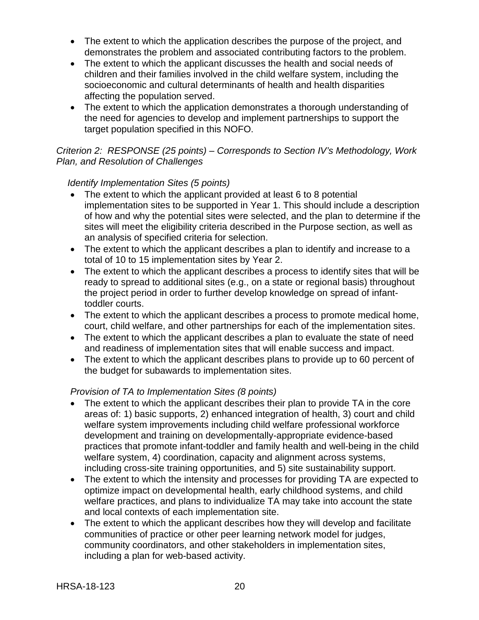- The extent to which the application describes the purpose of the project, and demonstrates the problem and associated contributing factors to the problem.
- The extent to which the applicant discusses the health and social needs of children and their families involved in the child welfare system, including the socioeconomic and cultural determinants of health and health disparities affecting the population served.
- The extent to which the application demonstrates a thorough understanding of the need for agencies to develop and implement partnerships to support the target population specified in this NOFO.

## *Criterion 2: RESPONSE (25 points) – Corresponds to Section IV's Methodology, Work Plan, and Resolution of Challenges*

## *Identify Implementation Sites (5 points)*

- The extent to which the applicant provided at least 6 to 8 potential implementation sites to be supported in Year 1. This should include a description of how and why the potential sites were selected, and the plan to determine if the sites will meet the eligibility criteria described in the Purpose section, as well as an analysis of specified criteria for selection.
- The extent to which the applicant describes a plan to identify and increase to a total of 10 to 15 implementation sites by Year 2.
- The extent to which the applicant describes a process to identify sites that will be ready to spread to additional sites (e.g., on a state or regional basis) throughout the project period in order to further develop knowledge on spread of infanttoddler courts.
- The extent to which the applicant describes a process to promote medical home, court, child welfare, and other partnerships for each of the implementation sites.
- The extent to which the applicant describes a plan to evaluate the state of need and readiness of implementation sites that will enable success and impact.
- The extent to which the applicant describes plans to provide up to 60 percent of the budget for subawards to implementation sites.

## *Provision of TA to Implementation Sites (8 points)*

- The extent to which the applicant describes their plan to provide TA in the core areas of: 1) basic supports, 2) enhanced integration of health, 3) court and child welfare system improvements including child welfare professional workforce development and training on developmentally-appropriate evidence-based practices that promote infant-toddler and family health and well-being in the child welfare system, 4) coordination, capacity and alignment across systems, including cross-site training opportunities, and 5) site sustainability support.
- The extent to which the intensity and processes for providing TA are expected to optimize impact on developmental health, early childhood systems, and child welfare practices, and plans to individualize TA may take into account the state and local contexts of each implementation site.
- The extent to which the applicant describes how they will develop and facilitate communities of practice or other peer learning network model for judges, community coordinators, and other stakeholders in implementation sites, including a plan for web-based activity.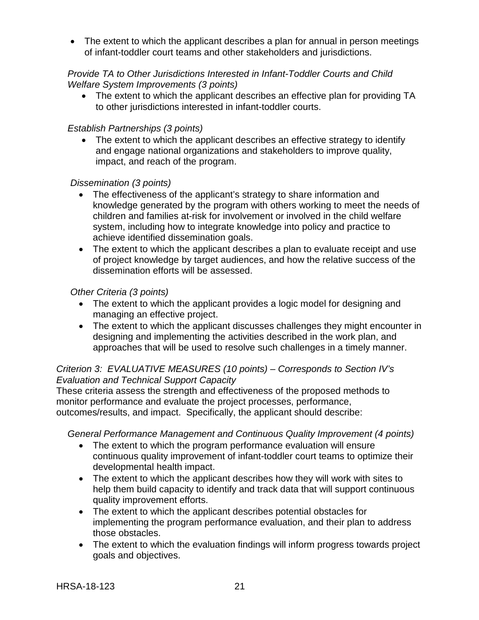• The extent to which the applicant describes a plan for annual in person meetings of infant-toddler court teams and other stakeholders and jurisdictions.

## *Provide TA to Other Jurisdictions Interested in Infant-Toddler Courts and Child Welfare System Improvements (3 points)*

• The extent to which the applicant describes an effective plan for providing TA to other jurisdictions interested in infant-toddler courts.

### *Establish Partnerships (3 points)*

The extent to which the applicant describes an effective strategy to identify and engage national organizations and stakeholders to improve quality, impact, and reach of the program.

#### *Dissemination (3 points)*

- The effectiveness of the applicant's strategy to share information and knowledge generated by the program with others working to meet the needs of children and families at-risk for involvement or involved in the child welfare system, including how to integrate knowledge into policy and practice to achieve identified dissemination goals.
- The extent to which the applicant describes a plan to evaluate receipt and use of project knowledge by target audiences, and how the relative success of the dissemination efforts will be assessed.

#### *Other Criteria (3 points)*

- The extent to which the applicant provides a logic model for designing and managing an effective project.
- The extent to which the applicant discusses challenges they might encounter in designing and implementing the activities described in the work plan, and approaches that will be used to resolve such challenges in a timely manner.

#### *Criterion 3: EVALUATIVE MEASURES (10 points) – Corresponds to Section IV's Evaluation and Technical Support Capacity*

These criteria assess the strength and effectiveness of the proposed methods to monitor performance and evaluate the project processes, performance, outcomes/results, and impact. Specifically, the applicant should describe:

*General Performance Management and Continuous Quality Improvement (4 points)*

- The extent to which the program performance evaluation will ensure continuous quality improvement of infant-toddler court teams to optimize their developmental health impact.
- The extent to which the applicant describes how they will work with sites to help them build capacity to identify and track data that will support continuous quality improvement efforts.
- The extent to which the applicant describes potential obstacles for implementing the program performance evaluation, and their plan to address those obstacles.
- The extent to which the evaluation findings will inform progress towards project goals and objectives.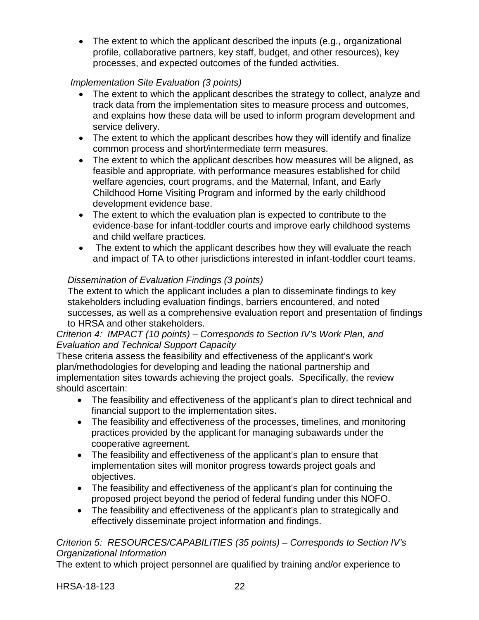• The extent to which the applicant described the inputs (e.g., organizational profile, collaborative partners, key staff, budget, and other resources), key processes, and expected outcomes of the funded activities.

## *Implementation Site Evaluation (3 points)*

- The extent to which the applicant describes the strategy to collect, analyze and track data from the implementation sites to measure process and outcomes, and explains how these data will be used to inform program development and service delivery.
- The extent to which the applicant describes how they will identify and finalize common process and short/intermediate term measures.
- The extent to which the applicant describes how measures will be aligned, as feasible and appropriate, with performance measures established for child welfare agencies, court programs, and the Maternal, Infant, and Early Childhood Home Visiting Program and informed by the early childhood development evidence base.
- The extent to which the evaluation plan is expected to contribute to the evidence-base for infant-toddler courts and improve early childhood systems and child welfare practices.
- The extent to which the applicant describes how they will evaluate the reach and impact of TA to other jurisdictions interested in infant-toddler court teams.

## *Dissemination of Evaluation Findings (3 points)*

The extent to which the applicant includes a plan to disseminate findings to key stakeholders including evaluation findings, barriers encountered, and noted successes, as well as a comprehensive evaluation report and presentation of findings to HRSA and other stakeholders.

## *Criterion 4: IMPACT (10 points) – Corresponds to Section IV's Work Plan, and Evaluation and Technical Support Capacity*

These criteria assess the feasibility and effectiveness of the applicant's work plan/methodologies for developing and leading the national partnership and implementation sites towards achieving the project goals. Specifically, the review should ascertain:

- The feasibility and effectiveness of the applicant's plan to direct technical and financial support to the implementation sites.
- The feasibility and effectiveness of the processes, timelines, and monitoring practices provided by the applicant for managing subawards under the cooperative agreement.
- The feasibility and effectiveness of the applicant's plan to ensure that implementation sites will monitor progress towards project goals and objectives.
- The feasibility and effectiveness of the applicant's plan for continuing the proposed project beyond the period of federal funding under this NOFO.
- The feasibility and effectiveness of the applicant's plan to strategically and effectively disseminate project information and findings.

## *Criterion 5: RESOURCES/CAPABILITIES (35 points) – Corresponds to Section IV's Organizational Information*

The extent to which project personnel are qualified by training and/or experience to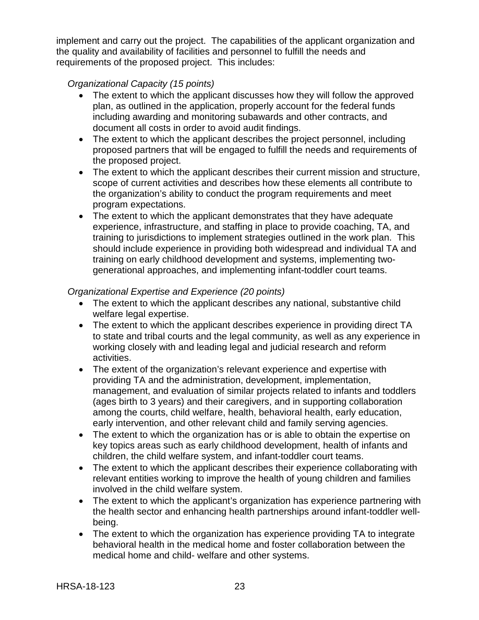implement and carry out the project. The capabilities of the applicant organization and the quality and availability of facilities and personnel to fulfill the needs and requirements of the proposed project. This includes:

## *Organizational Capacity (15 points)*

- The extent to which the applicant discusses how they will follow the approved plan, as outlined in the application, properly account for the federal funds including awarding and monitoring subawards and other contracts, and document all costs in order to avoid audit findings.
- The extent to which the applicant describes the project personnel, including proposed partners that will be engaged to fulfill the needs and requirements of the proposed project.
- The extent to which the applicant describes their current mission and structure, scope of current activities and describes how these elements all contribute to the organization's ability to conduct the program requirements and meet program expectations.
- The extent to which the applicant demonstrates that they have adequate experience, infrastructure, and staffing in place to provide coaching, TA, and training to jurisdictions to implement strategies outlined in the work plan. This should include experience in providing both widespread and individual TA and training on early childhood development and systems, implementing twogenerational approaches, and implementing infant-toddler court teams.

## *Organizational Expertise and Experience (20 points)*

- The extent to which the applicant describes any national, substantive child welfare legal expertise.
- The extent to which the applicant describes experience in providing direct TA to state and tribal courts and the legal community, as well as any experience in working closely with and leading legal and judicial research and reform activities.
- The extent of the organization's relevant experience and expertise with providing TA and the administration, development, implementation, management, and evaluation of similar projects related to infants and toddlers (ages birth to 3 years) and their caregivers, and in supporting collaboration among the courts, child welfare, health, behavioral health, early education, early intervention, and other relevant child and family serving agencies.
- The extent to which the organization has or is able to obtain the expertise on key topics areas such as early childhood development, health of infants and children, the child welfare system, and infant-toddler court teams.
- The extent to which the applicant describes their experience collaborating with relevant entities working to improve the health of young children and families involved in the child welfare system.
- The extent to which the applicant's organization has experience partnering with the health sector and enhancing health partnerships around infant-toddler wellbeing.
- The extent to which the organization has experience providing TA to integrate behavioral health in the medical home and foster collaboration between the medical home and child- welfare and other systems.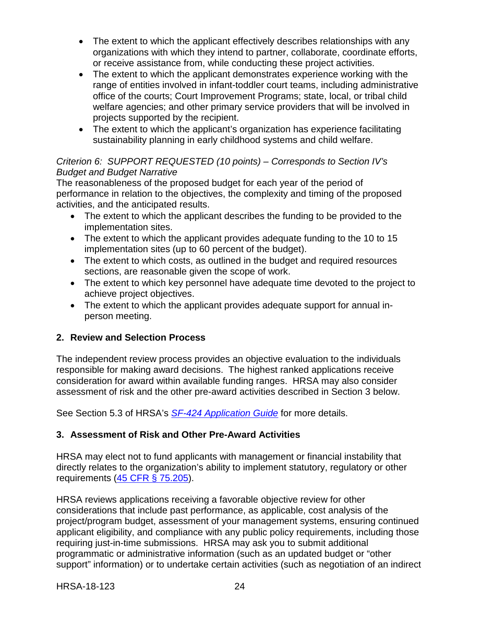- The extent to which the applicant effectively describes relationships with any organizations with which they intend to partner, collaborate, coordinate efforts, or receive assistance from, while conducting these project activities.
- The extent to which the applicant demonstrates experience working with the range of entities involved in infant-toddler court teams, including administrative office of the courts; Court Improvement Programs; state, local, or tribal child welfare agencies; and other primary service providers that will be involved in projects supported by the recipient.
- The extent to which the applicant's organization has experience facilitating sustainability planning in early childhood systems and child welfare.

## *Criterion 6: SUPPORT REQUESTED (10 points) – Corresponds to Section IV's Budget and Budget Narrative*

The reasonableness of the proposed budget for each year of the period of performance in relation to the objectives, the complexity and timing of the proposed activities, and the anticipated results.

- The extent to which the applicant describes the funding to be provided to the implementation sites.
- The extent to which the applicant provides adequate funding to the 10 to 15 implementation sites (up to 60 percent of the budget).
- The extent to which costs, as outlined in the budget and required resources sections, are reasonable given the scope of work.
- The extent to which key personnel have adequate time devoted to the project to achieve project objectives.
- The extent to which the applicant provides adequate support for annual inperson meeting.

## <span id="page-27-0"></span>**2. Review and Selection Process**

The independent review process provides an objective evaluation to the individuals responsible for making award decisions. The highest ranked applications receive consideration for award within available funding ranges. HRSA may also consider assessment of risk and the other pre-award activities described in Section 3 below.

See Section 5.3 of HRSA's *SF-424 [Application Guide](http://www.hrsa.gov/grants/apply/applicationguide/sf424guide.pdf)* for more details.

## <span id="page-27-1"></span>**3. Assessment of Risk and Other Pre-Award Activities**

HRSA may elect not to fund applicants with management or financial instability that directly relates to the organization's ability to implement statutory, regulatory or other requirements [\(45 CFR § 75.205\)](https://www.ecfr.gov/cgi-bin/retrieveECFR?gp=1&SID=4d52364ec83fab994c665943dadf9cf7&ty=HTML&h=L&r=PART&n=pt45.1.75).

HRSA reviews applications receiving a favorable objective review for other considerations that include past performance, as applicable, cost analysis of the project/program budget, assessment of your management systems, ensuring continued applicant eligibility, and compliance with any public policy requirements, including those requiring just-in-time submissions. HRSA may ask you to submit additional programmatic or administrative information (such as an updated budget or "other support" information) or to undertake certain activities (such as negotiation of an indirect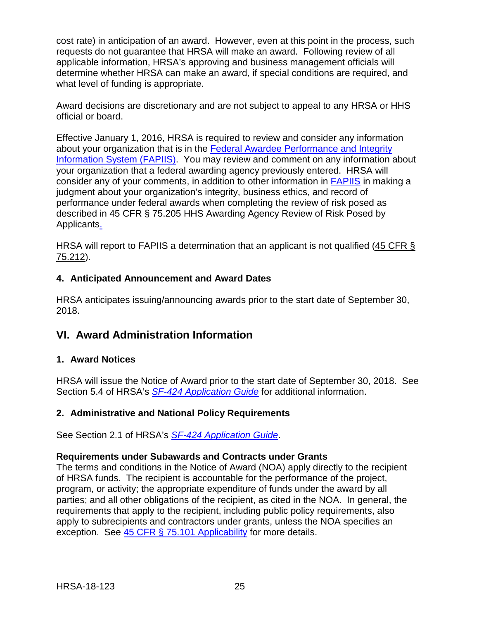cost rate) in anticipation of an award. However, even at this point in the process, such requests do not guarantee that HRSA will make an award. Following review of all applicable information, HRSA's approving and business management officials will determine whether HRSA can make an award, if special conditions are required, and what level of funding is appropriate.

Award decisions are discretionary and are not subject to appeal to any HRSA or HHS official or board.

Effective January 1, 2016, HRSA is required to review and consider any information about your organization that is in the [Federal Awardee Performance and Integrity](https://www.fapiis.gov/)  [Information System \(FAPIIS\).](https://www.fapiis.gov/) You may review and comment on any information about your organization that a federal awarding agency previously entered. HRSA will consider any of your comments, in addition to other information in **FAPIIS** in making a judgment about your organization's integrity, business ethics, and record of performance under federal awards when completing the review of risk posed as described in [45 CFR § 75.205 HHS Awarding Agency Review of Risk Posed by](https://www.ecfr.gov/cgi-bin/retrieveECFR?gp=1&SID=4d52364ec83fab994c665943dadf9cf7&ty=HTML&h=L&r=PART&n=pt45.1.75)  [Applicants.](https://www.ecfr.gov/cgi-bin/retrieveECFR?gp=1&SID=4d52364ec83fab994c665943dadf9cf7&ty=HTML&h=L&r=PART&n=pt45.1.75)

HRSA will report to FAPIIS a determination that an applicant is not qualified [\(45 CFR §](https://www.ecfr.gov/cgi-bin/retrieveECFR?gp=1&SID=4d52364ec83fab994c665943dadf9cf7&ty=HTML&h=L&r=PART&n=pt45.1.75)  [75.212\)](https://www.ecfr.gov/cgi-bin/retrieveECFR?gp=1&SID=4d52364ec83fab994c665943dadf9cf7&ty=HTML&h=L&r=PART&n=pt45.1.75).

## <span id="page-28-0"></span>**4. Anticipated Announcement and Award Dates**

HRSA anticipates issuing/announcing awards prior to the start date of September 30, 2018.

## <span id="page-28-1"></span>**VI. Award Administration Information**

## <span id="page-28-2"></span>**1. Award Notices**

HRSA will issue the Notice of Award prior to the start date of September 30, 2018. See Section 5.4 of HRSA's *SF-424 [Application Guide](http://www.hrsa.gov/grants/apply/applicationguide/sf424guide.pdf)* for additional information.

## <span id="page-28-3"></span>**2. Administrative and National Policy Requirements**

See Section 2.1 of HRSA's *SF-424 [Application Guide](http://www.hrsa.gov/grants/apply/applicationguide/sf424guide.pdf)*.

## **Requirements under Subawards and Contracts under Grants**

The terms and conditions in the Notice of Award (NOA) apply directly to the recipient of HRSA funds. The recipient is accountable for the performance of the project, program, or activity; the appropriate expenditure of funds under the award by all parties; and all other obligations of the recipient, as cited in the NOA. In general, the requirements that apply to the recipient, including public policy requirements, also apply to subrecipients and contractors under grants, unless the NOA specifies an exception. See [45 CFR § 75.101 Applicability](https://www.ecfr.gov/cgi-bin/retrieveECFR?gp=1&SID=4d52364ec83fab994c665943dadf9cf7&ty=HTML&h=L&r=PART&n=pt45.1.75) for more details.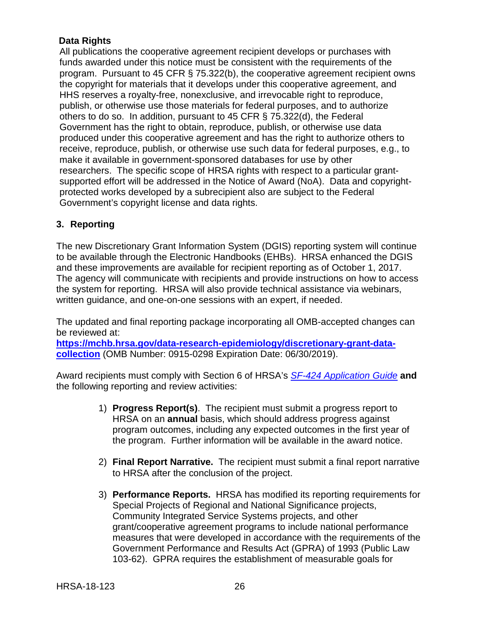## **Data Rights**

All publications the cooperative agreement recipient develops or purchases with funds awarded under this notice must be consistent with the requirements of the program. Pursuant to 45 CFR § 75.322(b), the cooperative agreement recipient owns the copyright for materials that it develops under this cooperative agreement, and HHS reserves a royalty-free, nonexclusive, and irrevocable right to reproduce, publish, or otherwise use those materials for federal purposes, and to authorize others to do so. In addition, pursuant to 45 CFR § 75.322(d), the Federal Government has the right to obtain, reproduce, publish, or otherwise use data produced under this cooperative agreement and has the right to authorize others to receive, reproduce, publish, or otherwise use such data for federal purposes, e.g., to make it available in government-sponsored databases for use by other researchers. The specific scope of HRSA rights with respect to a particular grantsupported effort will be addressed in the Notice of Award (NoA). Data and copyrightprotected works developed by a subrecipient also are subject to the Federal Government's copyright license and data rights.

## <span id="page-29-0"></span>**3. Reporting**

The new Discretionary Grant Information System (DGIS) reporting system will continue to be available through the Electronic Handbooks (EHBs). HRSA enhanced the DGIS and these improvements are available for recipient reporting as of October 1, 2017. The agency will communicate with recipients and provide instructions on how to access the system for reporting. HRSA will also provide technical assistance via webinars, written guidance, and one-on-one sessions with an expert, if needed.

The updated and final reporting package incorporating all OMB-accepted changes can be reviewed at:

**[https://mchb.hrsa.gov/data-research-epidemiology/discretionary-grant-data](https://mchb.hrsa.gov/data-research-epidemiology/discretionary-grant-data-collection)[collection](https://mchb.hrsa.gov/data-research-epidemiology/discretionary-grant-data-collection)** (OMB Number: 0915-0298 Expiration Date: 06/30/2019).

Award recipients must comply with Section 6 of HRSA's *SF-424 [Application Guide](http://www.hrsa.gov/grants/apply/applicationguide/sf424guide.pdf)* **and** the following reporting and review activities:

- 1) **Progress Report(s)**. The recipient must submit a progress report to HRSA on an **annual** basis, which should address progress against program outcomes, including any expected outcomes in the first year of the program. Further information will be available in the award notice.
- 2) **Final Report Narrative.** The recipient must submit a final report narrative to HRSA after the conclusion of the project.
- 3) **Performance Reports.** HRSA has modified its reporting requirements for Special Projects of Regional and National Significance projects, Community Integrated Service Systems projects, and other grant/cooperative agreement programs to include national performance measures that were developed in accordance with the requirements of the Government Performance and Results Act (GPRA) of 1993 (Public Law 103-62). GPRA requires the establishment of measurable goals for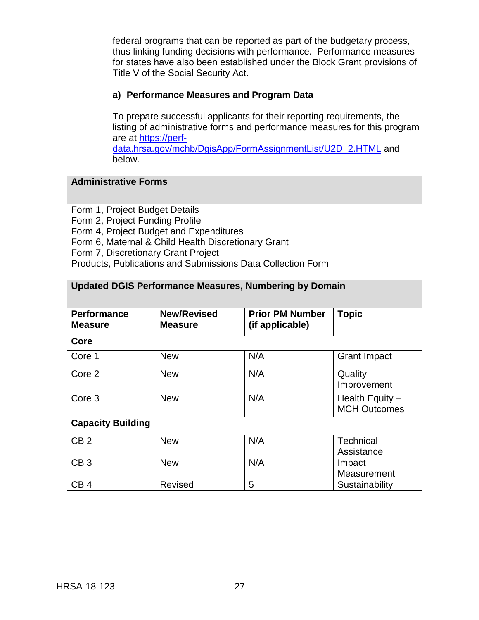federal programs that can be reported as part of the budgetary process, thus linking funding decisions with performance. Performance measures for states have also been established under the Block Grant provisions of Title V of the Social Security Act.

#### **a) Performance Measures and Program Data**

To prepare successful applicants for their reporting requirements, the listing of administrative forms and performance measures for this program are at [https://perf-](https://perf-data.hrsa.gov/mchb/DgisApp/FormAssignmentList/U2D_2.HTML)

[data.hrsa.gov/mchb/DgisApp/FormAssignmentList/U2D\\_2.HTML](https://perf-data.hrsa.gov/mchb/DgisApp/FormAssignmentList/U2D_2.HTML) and below.

### **Administrative Forms**

Form 1, Project Budget Details

Form 2, Project Funding Profile

Form 4, Project Budget and Expenditures

Form 6, Maternal & Child Health Discretionary Grant

Form 7, Discretionary Grant Project

Products, Publications and Submissions Data Collection Form

## **Updated DGIS Performance Measures, Numbering by Domain**

| <b>Performance</b><br><b>Measure</b> | <b>New/Revised</b><br><b>Measure</b> | <b>Prior PM Number</b><br>(if applicable) | <b>Topic</b>                           |
|--------------------------------------|--------------------------------------|-------------------------------------------|----------------------------------------|
| Core                                 |                                      |                                           |                                        |
| Core 1                               | <b>New</b>                           | N/A                                       | <b>Grant Impact</b>                    |
| Core 2                               | <b>New</b>                           | N/A                                       | Quality<br>Improvement                 |
| Core <sub>3</sub>                    | <b>New</b>                           | N/A                                       | Health Equity -<br><b>MCH Outcomes</b> |
| <b>Capacity Building</b>             |                                      |                                           |                                        |
| CB <sub>2</sub>                      | <b>New</b>                           | N/A                                       | <b>Technical</b><br>Assistance         |
| CB <sub>3</sub>                      | <b>New</b>                           | N/A                                       | Impact<br>Measurement                  |
| CB <sub>4</sub>                      | Revised                              | 5                                         | Sustainability                         |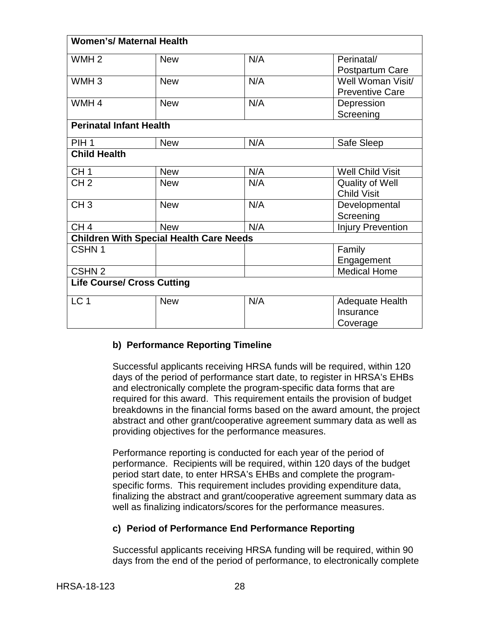| <b>Women's/ Maternal Health</b>   |                                                |     |                          |
|-----------------------------------|------------------------------------------------|-----|--------------------------|
| WMH <sub>2</sub>                  | <b>New</b>                                     | N/A | Perinatal/               |
|                                   |                                                |     | Postpartum Care          |
| WMH <sub>3</sub>                  | <b>New</b>                                     | N/A | Well Woman Visit/        |
|                                   |                                                |     | <b>Preventive Care</b>   |
| WMH <sub>4</sub>                  | <b>New</b>                                     | N/A | Depression               |
|                                   |                                                |     | Screening                |
| <b>Perinatal Infant Health</b>    |                                                |     |                          |
| PIH <sub>1</sub>                  | <b>New</b>                                     | N/A | Safe Sleep               |
| <b>Child Health</b>               |                                                |     |                          |
| CH <sub>1</sub>                   | <b>New</b>                                     | N/A | <b>Well Child Visit</b>  |
| CH <sub>2</sub>                   | <b>New</b>                                     | N/A | <b>Quality of Well</b>   |
|                                   |                                                |     | <b>Child Visit</b>       |
| CH <sub>3</sub>                   | <b>New</b>                                     | N/A | Developmental            |
|                                   |                                                |     | Screening                |
| CH <sub>4</sub>                   | <b>New</b>                                     | N/A | <b>Injury Prevention</b> |
|                                   | <b>Children With Special Health Care Needs</b> |     |                          |
| CSHN <sub>1</sub>                 |                                                |     | Family                   |
|                                   |                                                |     | Engagement               |
| CSHN <sub>2</sub>                 |                                                |     | <b>Medical Home</b>      |
| <b>Life Course/ Cross Cutting</b> |                                                |     |                          |
| LC <sub>1</sub>                   | <b>New</b>                                     | N/A | Adequate Health          |
|                                   |                                                |     | Insurance                |
|                                   |                                                |     | Coverage                 |

## **b) Performance Reporting Timeline**

Successful applicants receiving HRSA funds will be required, within 120 days of the period of performance start date, to register in HRSA's EHBs and electronically complete the program-specific data forms that are required for this award.This requirement entails the provision of budget breakdowns in the financial forms based on the award amount, the project abstract and other grant/cooperative agreement summary data as well as providing objectives for the performance measures.

Performance reporting is conducted for each year of the period of performance. Recipients will be required, within 120 days of the budget period start date, to enter HRSA's EHBs and complete the programspecific forms. This requirement includes providing expenditure data, finalizing the abstract and grant/cooperative agreement summary data as well as finalizing indicators/scores for the performance measures.

#### **c) Period of Performance End Performance Reporting**

Successful applicants receiving HRSA funding will be required, within 90 days from the end of the period of performance, to electronically complete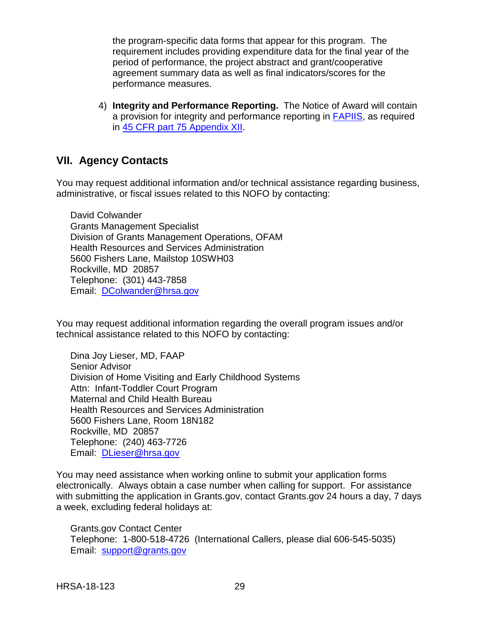the program-specific data forms that appear for this program. The requirement includes providing expenditure data for the final year of the period of performance, the project abstract and grant/cooperative agreement summary data as well as final indicators/scores for the performance measures.

4) **Integrity and Performance Reporting.** The Notice of Award will contain a provision for integrity and performance reporting in [FAPIIS,](https://www.fapiis.gov/) as required in [45 CFR part 75 Appendix XII.](http://www.ecfr.gov/cgi-bin/retrieveECFR?gp=1&SID=4d52364ec83fab994c665943dadf9cf7&ty=HTML&h=L&r=PART&n=pt45.1.75#ap45.1.75_1521.xii)

## <span id="page-32-0"></span>**VII. Agency Contacts**

You may request additional information and/or technical assistance regarding business, administrative, or fiscal issues related to this NOFO by contacting:

David Colwander Grants Management Specialist Division of Grants Management Operations, OFAM Health Resources and Services Administration 5600 Fishers Lane, Mailstop 10SWH03 Rockville, MD 20857 Telephone: (301) 443-7858 Email: [DColwander@hrsa.gov](mailto:DColwander@hrsa.gov)

You may request additional information regarding the overall program issues and/or technical assistance related to this NOFO by contacting:

Dina Joy Lieser, MD, FAAP Senior Advisor Division of Home Visiting and Early Childhood Systems Attn: Infant-Toddler Court Program Maternal and Child Health Bureau Health Resources and Services Administration 5600 Fishers Lane, Room 18N182 Rockville, MD 20857 Telephone: (240) 463-7726 Email: [DLieser@hrsa.gov](mailto:DLieser@hrsa.gov)

You may need assistance when working online to submit your application forms electronically. Always obtain a case number when calling for support. For assistance with submitting the application in Grants.gov, contact Grants.gov 24 hours a day, 7 days a week, excluding federal holidays at:

Grants.gov Contact Center Telephone: 1-800-518-4726 (International Callers, please dial 606-545-5035) Email: [support@grants.gov](mailto:support@grants.gov)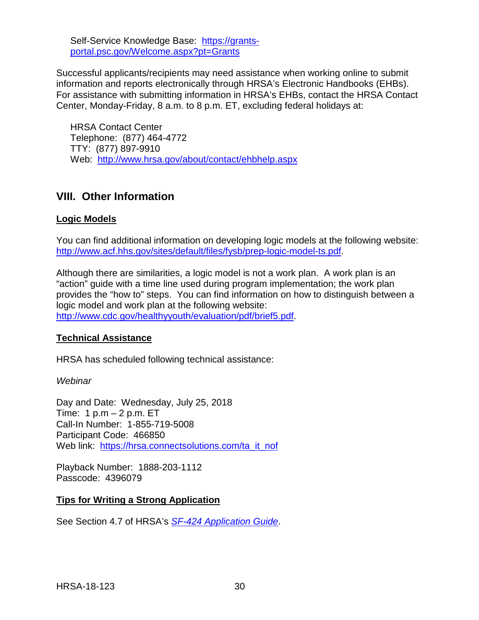Self-Service Knowledge Base: [https://grants](https://grants-portal.psc.gov/Welcome.aspx?pt=Grants)[portal.psc.gov/Welcome.aspx?pt=Grants](https://grants-portal.psc.gov/Welcome.aspx?pt=Grants)

Successful applicants/recipients may need assistance when working online to submit information and reports electronically through HRSA's Electronic Handbooks (EHBs). For assistance with submitting information in HRSA's EHBs, contact the HRSA Contact Center, Monday-Friday, 8 a.m. to 8 p.m. ET, excluding federal holidays at:

HRSA Contact Center Telephone: (877) 464-4772 TTY: (877) 897-9910 Web: <http://www.hrsa.gov/about/contact/ehbhelp.aspx>

## <span id="page-33-0"></span>**VIII. Other Information**

## **Logic Models**

You can find additional information on developing logic models at the following website: [http://www.acf.hhs.gov/sites/default/files/fysb/prep-logic-model-ts.pdf.](http://www.acf.hhs.gov/sites/default/files/fysb/prep-logic-model-ts.pdf)

Although there are similarities, a logic model is not a work plan. A work plan is an "action" guide with a time line used during program implementation; the work plan provides the "how to" steps. You can find information on how to distinguish between a logic model and work plan at the following website: [http://www.cdc.gov/healthyyouth/evaluation/pdf/brief5.pdf.](http://www.cdc.gov/healthyyouth/evaluation/pdf/brief5.pdf)

#### **Technical Assistance**

HRSA has scheduled following technical assistance:

*Webinar*

Day and Date: Wednesday, July 25, 2018 Time: 1 p.m – 2 p.m. ET Call-In Number: 1-855-719-5008 Participant Code: 466850 Web link: [https://hrsa.connectsolutions.com/ta\\_it\\_nof](https://hrsa.connectsolutions.com/ta_it_nof)

Playback Number: 1888-203-1112 Passcode: 4396079

#### **Tips for Writing a Strong Application**

See Section 4.7 of HRSA's *SF-424 [Application Guide](http://www.hrsa.gov/grants/apply/applicationguide/sf424guide.pdf)*.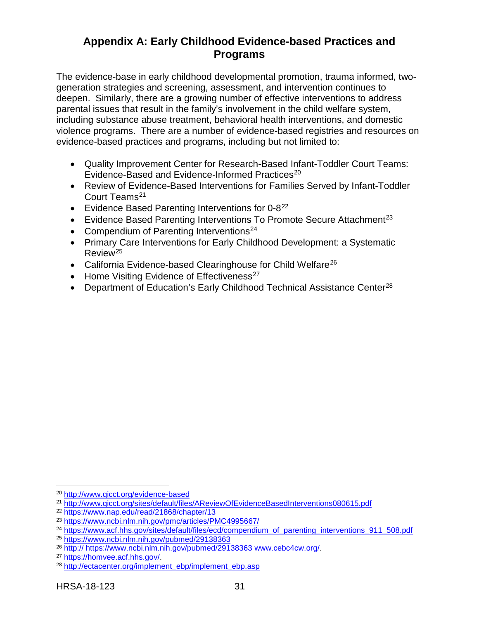## <span id="page-34-0"></span>**Appendix A: Early Childhood Evidence-based Practices and Programs**

The evidence-base in early childhood developmental promotion, trauma informed, twogeneration strategies and screening, assessment, and intervention continues to deepen. Similarly, there are a growing number of effective interventions to address parental issues that result in the family's involvement in the child welfare system, including substance abuse treatment, behavioral health interventions, and domestic violence programs. There are a number of evidence-based registries and resources on evidence-based practices and programs, including but not limited to:

- Quality Improvement Center for Research-Based Infant-Toddler Court Teams: Evidence-Based and Evidence-Informed Practices<sup>[20](#page-34-1)</sup>
- Review of Evidence-Based Interventions for Families Served by Infant-Toddler Court Teams<sup>[21](#page-34-2)</sup>
- Evidence Based Parenting Interventions for 0-8<sup>[22](#page-34-3)</sup>
- Evidence Based Parenting Interventions To Promote Secure Attachment<sup>[23](#page-34-4)</sup>
- Compendium of Parenting Interventions<sup>[24](#page-34-5)</sup>
- Primary Care Interventions for Early Childhood Development: a Systematic Review[25](#page-34-6)
- California Evidence-based Clearinghouse for Child Welfare<sup>[26](#page-34-7)</sup>
- Home Visiting Evidence of Effectiveness<sup>[27](#page-34-8)</sup>
- Department of Education's Early Childhood Technical Assistance Center<sup>[28](#page-34-9)</sup>

<span id="page-34-1"></span> $\overline{a}$ <sup>20</sup> <http://www.qicct.org/evidence-based>

<span id="page-34-2"></span><sup>21</sup> <http://www.qicct.org/sites/default/files/AReviewOfEvidenceBasedInterventions080615.pdf>

<span id="page-34-3"></span><sup>22</sup> <https://www.nap.edu/read/21868/chapter/13>

<span id="page-34-4"></span><sup>23</sup> <https://www.ncbi.nlm.nih.gov/pmc/articles/PMC4995667/>

<span id="page-34-5"></span><sup>&</sup>lt;sup>24</sup> [https://www.acf.hhs.gov/sites/default/files/ecd/compendium\\_of\\_parenting\\_interventions\\_911\\_508.pdf](https://www.acf.hhs.gov/sites/default/files/ecd/compendium_of_parenting_interventions_911_508.pdf)

<span id="page-34-6"></span><sup>25</sup> <https://www.ncbi.nlm.nih.gov/pubmed/29138363>

<span id="page-34-7"></span><sup>&</sup>lt;sup>26</sup> http:// [https://www.ncbi.nlm.nih.gov/pubmed/29138363 www.cebc4cw.org/.](http://www.cebc4cw.org/)<br><sup>27</sup> https://homvee.acf.hhs.gov/.<br><sup>28</sup> [http://ectacenter.org/implement\\_ebp/implement\\_ebp.asp](http://ectacenter.org/implement_ebp/implement_ebp.asp)

<span id="page-34-8"></span>

<span id="page-34-9"></span>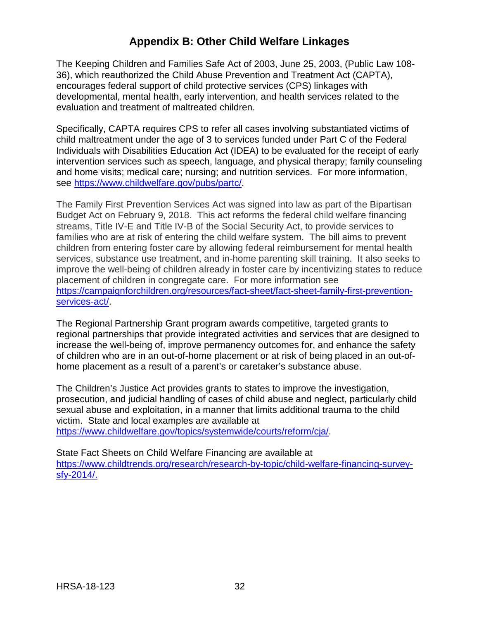## **Appendix B: Other Child Welfare Linkages**

<span id="page-35-0"></span>The Keeping Children and Families Safe Act of 2003, June 25, 2003, (Public Law 108- 36), which reauthorized the Child Abuse Prevention and Treatment Act (CAPTA), encourages federal support of child protective services (CPS) linkages with developmental, mental health, early intervention, and health services related to the evaluation and treatment of maltreated children.

Specifically, CAPTA requires CPS to refer all cases involving substantiated victims of child maltreatment under the age of 3 to services funded under Part C of the Federal Individuals with Disabilities Education Act (IDEA) to be evaluated for the receipt of early intervention services such as speech, language, and physical therapy; family counseling and home visits; medical care; nursing; and nutrition services. For more information, see [https://www.childwelfare.gov/pubs/partc/.](https://www.childwelfare.gov/pubs/partc/)

The Family First Prevention Services Act was signed into law as part of the Bipartisan Budget Act on February 9, 2018.This act reforms the federal child welfare financing streams, Title IV-E and Title IV-B of the Social Security Act, to provide services to families who are at risk of entering the child welfare system. The bill aims to prevent children from entering foster care by allowing federal reimbursement for mental health services, substance use treatment, and in-home parenting skill training. It also seeks to improve the well-being of children already in foster care by incentivizing states to reduce placement of children in congregate care. For more information see [https://campaignforchildren.org/resources/fact-sheet/fact-sheet-family-first-prevention](https://campaignforchildren.org/resources/fact-sheet/fact-sheet-family-first-prevention-services-act/)[services-act/.](https://campaignforchildren.org/resources/fact-sheet/fact-sheet-family-first-prevention-services-act/)

The Regional Partnership Grant program awards competitive, targeted grants to regional partnerships that provide integrated activities and services that are designed to increase the well-being of, improve permanency outcomes for, and enhance the safety of children who are in an out-of-home placement or at risk of being placed in an out-ofhome placement as a result of a parent's or caretaker's substance abuse.

The Children's Justice Act provides grants to states to improve the investigation, prosecution, and judicial handling of cases of child abuse and neglect, particularly child sexual abuse and exploitation, in a manner that limits additional trauma to the child victim. State and local examples are available at [https://www.childwelfare.gov/topics/systemwide/courts/reform/cja/.](https://www.childwelfare.gov/topics/systemwide/courts/reform/cja/)

<span id="page-35-1"></span>State Fact Sheets on Child Welfare Financing are available at [https://www.childtrends.org/research/research-by-topic/child-welfare-financing-survey](https://www.childtrends.org/research/research-by-topic/child-welfare-financing-survey-sfy-2014/)[sfy-2014/.](https://www.childtrends.org/research/research-by-topic/child-welfare-financing-survey-sfy-2014/)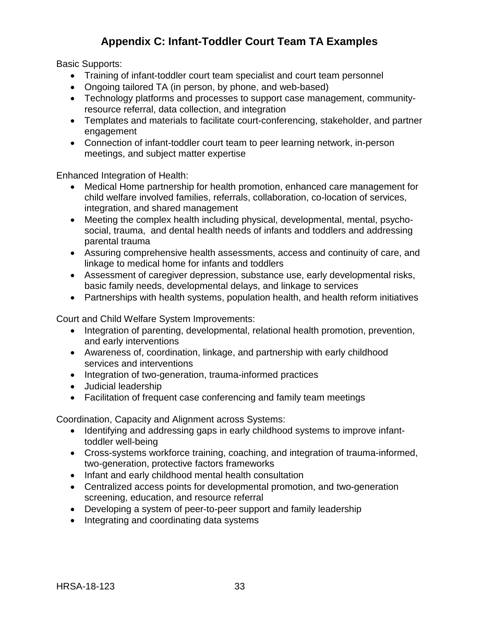## **Appendix C: Infant-Toddler Court Team TA Examples**

<span id="page-36-0"></span>Basic Supports:

- Training of infant-toddler court team specialist and court team personnel
- Ongoing tailored TA (in person, by phone, and web-based)
- Technology platforms and processes to support case management, communityresource referral, data collection, and integration
- Templates and materials to facilitate court-conferencing, stakeholder, and partner engagement
- Connection of infant-toddler court team to peer learning network, in-person meetings, and subject matter expertise

Enhanced Integration of Health:

- Medical Home partnership for health promotion, enhanced care management for child welfare involved families, referrals, collaboration, co-location of services, integration, and shared management
- Meeting the complex health including physical, developmental, mental, psychosocial, trauma, and dental health needs of infants and toddlers and addressing parental trauma
- Assuring comprehensive health assessments, access and continuity of care, and linkage to medical home for infants and toddlers
- Assessment of caregiver depression, substance use, early developmental risks, basic family needs, developmental delays, and linkage to services
- Partnerships with health systems, population health, and health reform initiatives

Court and Child Welfare System Improvements:

- Integration of parenting, developmental, relational health promotion, prevention, and early interventions
- Awareness of, coordination, linkage, and partnership with early childhood services and interventions
- Integration of two-generation, trauma-informed practices
- Judicial leadership
- Facilitation of frequent case conferencing and family team meetings

Coordination, Capacity and Alignment across Systems:

- Identifying and addressing gaps in early childhood systems to improve infanttoddler well-being
- Cross-systems workforce training, coaching, and integration of trauma-informed, two-generation, protective factors frameworks
- Infant and early childhood mental health consultation
- Centralized access points for developmental promotion, and two-generation screening, education, and resource referral
- Developing a system of peer-to-peer support and family leadership
- Integrating and coordinating data systems